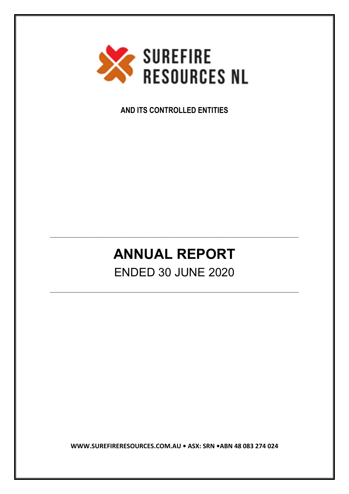

**AND ITS CONTROLLED ENTITIES**

# **ANNUAL REPORT** ENDED 30 JUNE 2020

\_\_\_\_\_\_\_\_\_\_\_\_\_\_\_\_\_\_\_\_\_\_\_\_\_\_\_\_\_\_\_\_\_\_\_\_\_\_\_\_\_\_\_\_\_\_\_\_\_\_\_\_\_\_\_\_\_\_\_\_\_\_\_\_\_\_\_\_\_\_\_\_\_\_\_\_\_\_\_\_\_\_\_\_\_

\_\_\_\_\_\_\_\_\_\_\_\_\_\_\_\_\_\_\_\_\_\_\_\_\_\_\_\_\_\_\_\_\_\_\_\_\_\_\_\_\_\_\_\_\_\_\_\_\_\_\_\_\_\_\_\_\_\_\_\_\_\_\_\_\_\_\_\_\_\_\_\_\_\_\_\_\_\_\_\_\_\_\_\_\_

**WWW.SUREFIRERESOURCES.COM.AU • ASX: SRN •ABN 48 083 274 024**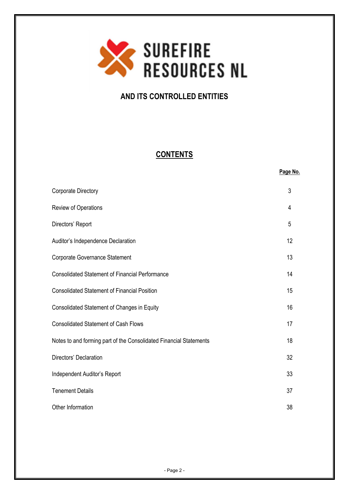

# **AND ITS CONTROLLED ENTITIES**

# **CONTENTS**

**Page No.**

| <b>Corporate Directory</b>                                         | 3  |
|--------------------------------------------------------------------|----|
| Review of Operations                                               | 4  |
| Directors' Report                                                  | 5  |
| Auditor's Independence Declaration                                 | 12 |
| <b>Corporate Governance Statement</b>                              | 13 |
| <b>Consolidated Statement of Financial Performance</b>             | 14 |
| <b>Consolidated Statement of Financial Position</b>                | 15 |
| Consolidated Statement of Changes in Equity                        | 16 |
| <b>Consolidated Statement of Cash Flows</b>                        | 17 |
| Notes to and forming part of the Consolidated Financial Statements | 18 |
| Directors' Declaration                                             | 32 |
| Independent Auditor's Report                                       | 33 |
| <b>Tenement Details</b>                                            | 37 |
| Other Information                                                  | 38 |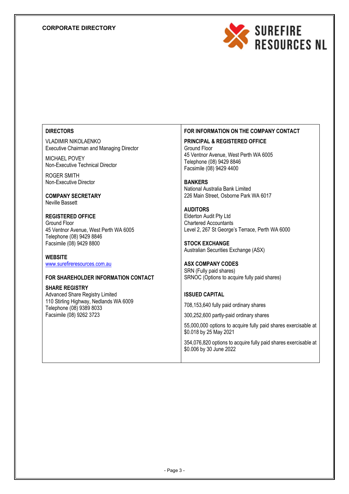# **CORPORATE DIRECTORY**



# **DIRECTORS**

VLADIMIR NIKOLAENKO Executive Chairman and Managing Director

MICHAEL POVEY Non-Executive Technical Director

ROGER SMITH Non-Executive Director

**COMPANY SECRETARY** Neville Bassett

**REGISTERED OFFICE** Ground Floor 45 Ventnor Avenue, West Perth WA 6005 Telephone (08) 9429 8846 Facsimile (08) 9429 8800

**WEBSITE** www.surefireresources.com.au

# **FOR SHAREHOLDER INFORMATION CONTACT**

**SHARE REGISTRY** Advanced Share Registry Limited 110 Stirling Highway, Nedlands WA 6009 Telephone (08) 9389 8033 Facsimile (08) 9262 3723

# **FOR INFORMATION ON THE COMPANY CONTACT**

**PRINCIPAL & REGISTERED OFFICE** Ground Floor 45 Ventnor Avenue, West Perth WA 6005 Telephone (08) 9429 8846 Facsimile (08) 9429 4400

**BANKERS** National Australia Bank Limited 226 Main Street, Osborne Park WA 6017

**AUDITORS** Elderton Audit Pty Ltd Chartered Accountants Level 2, 267 St George's Terrace, Perth WA 6000

**STOCK EXCHANGE** Australian Securities Exchange (ASX)

# **ASX COMPANY CODES**

SRN (Fully paid shares) SRNOC (Options to acquire fully paid shares)

# **ISSUED CAPITAL**

708,153,640 fully paid ordinary shares

300,252,600 partly-paid ordinary shares

55,000,000 options to acquire fully paid shares exercisable at \$0.018 by 25 May 2021

354,076,820 options to acquire fully paid shares exercisable at \$0.006 by 30 June 2022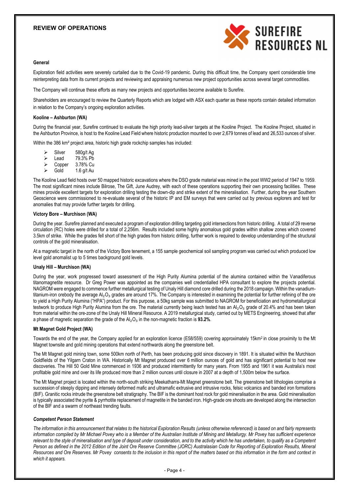# **REVIEW OF OPERATIONS**



#### **General**

Exploration field activities were severely curtailed due to the Covid-19 pandemic. During this difficult time, the Company spent considerable time reinterpreting data from its current projects and reviewing and appraising numerous new project opportunities across several target commodities.

The Company will continue these efforts as many new projects and opportunities become available to Surefire.

Shareholders are encouraged to review the Quarterly Reports which are lodged with ASX each quarter as these reports contain detailed information in relation to the Company's ongoing exploration activities.

#### **Kooline – Ashburton (WA)**

During the financial year, Surefire continued to evaluate the high priority lead-silver targets at the Kooline Project. The Kooline Project, situated in the Ashburton Province, is host to the Kooline Lead Field where historic production mounted to over 2,679 tonnes of lead and 26,533 ounces of silver.

Within the 386 km² project area, historic high grade rockchip samples has included:

 $\geq$  Silver 580g/t Ag<br> $\geq$  Lead 79.3% Pb  $\geq$  Lead 79.3% Pb Copper 3.78% Cu Gold 1.6 g/t Au

The Kooline Lead field hosts over 50 mapped historic excavations where the DSO grade material was mined in the post WW2 period of 1947 to 1959. The most significant mines include Bilrose, The Gift, June Audrey, with each of these operations supporting their own processing facilities. These mines provide excellent targets for exploration drilling testing the down-dip and strike extent of the mineralisation. Further, during the year Southern Geoscience were commissioned to re-evaluate several of the historic IP and EM surveys that were carried out by previous explorers and test for anomalies that may provide further targets for drilling.

#### **Victory Bore – Murchison (WA)**

During the year. Surefire planned and executed a program of exploration drilling targeting gold intersections from historic drilling. A total of 29 reverse circulation (RC) holes were drilled for a total of 2,256m. Results included some highly anomalous gold grades within shallow zones which covered 3.5km of strike. While the grades fell short of the high grades from historic drilling, further work is required to develop understanding of the structural controls of the gold mineralisation.

At a magnetic target in the north of the Victory Bore tenement, a 155 sample geochemical soil sampling program was carried out which produced low level gold anomalist up to 5 times background gold levels.

#### **Unaly Hill – Murchison (WA)**

During the year, work progressed toward assessment of the High Purity Alumina potential of the alumina contained within the Vanadiferous titanomagnetite resource. Dr Greg Power was appointed as the companies well credentialled HPA consultant to explore the projects potential. NAGROM were engaged to commence further metallurgical testing of Unaly Hill diamond core drilled during the 2018 campaign. Within the vanadiumtitanium-iron orebody the average Al⋅O⋅ grades are around 17%. The Company is interested in examining the potential for further refining of the ore to yield a High Purity Alumina ("HPA") product. For this purpose, a 50kg sample was submitted to NAGROM for beneficiation and hydrometallurgical testwork to produce High Purity Alumina from the ore. The material currently being leach tested has an Al<sub>2</sub>O<sub>3</sub> grade of 20.4% and has been taken from material within the ore-zone of the Unaly Hill Mineral Resource. A 2019 metallurgical study, carried out by METS Engineering, showed that after a phase of magnetic separation the grade of the Al₂O₃ in the non-magnetic fraction is **93.2%**.

#### **Mt Magnet Gold Project (WA)**

Towards the end of the year, the Company applied for an exploration licence (E58/559) covering approximately 15km<sup>2</sup> in close proximity to the Mt Magnet townsite and gold mining operations that extend northwards along the greenstone belt.

The Mt Magnet gold mining town, some 500km north of Perth, has been producing gold since discovery in 1891. It is situated within the Murchison Goldfields of the Yilgarn Craton in WA. Historically Mt Magnet produced over 6 million ounces of gold and has significant potential to host new discoveries. The Hill 50 Gold Mine commenced in 1936 and produced intermittently for many years. From 1955 and 1961 it was Australia's most profitable gold mine and over its life produced more than 2 million ounces until closure in 2007 at a depth of 1,500m below the surface.

The Mt Magnet project is located within the north-south striking Meekatharra-Mt Magnet greenstone belt. The greenstone belt lithologies comprise a succession of steeply dipping and intensely deformed mafic and ultramafic extrusive and intrusive rocks, felsic volcanics and banded iron formations (BIF). Granitic rocks intrude the greenstone belt stratigraphy. The BIF is the dominant host rock for gold mineralisation in the area. Gold mineralisation is typically associated the pyrite & pyrrhotite replacement of magnetite in the banded iron. High-grade ore shoots are developed along the intersection of the BIF and a swarm of northeast trending faults.

#### *Competent Person Statement*

*The information in this announcement that relates to the historical Exploration Results (unless otherwise referenced) is based on and fairly represents information compiled by Mr Michael Povey who is a Member of the Australian Institute of Mining and Metallurgy. Mr Povey has sufficient experience relevant to the style of mineralisation and type of deposit under consideration, and to the activity which he has undertaken, to qualify as a Competent Person as defined in the 2012 Edition of the Joint Ore Reserve Committee (JORC) Australasian Code for Reporting of Exploration Results, Mineral Resources and Ore Reserves. Mr Povey consents to the inclusion in this report of the matters based on this information in the form and context in which it appears.*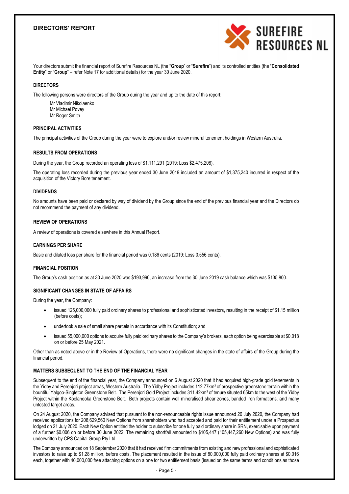

Your directors submit the financial report of Surefire Resources NL (the "**Group**" or "**Surefire**") and its controlled entities (the "**Consolidated Entity**" or "**Group**" – refer Note 17 for additional details) for the year 30 June 2020.

#### **DIRECTORS**

The following persons were directors of the Group during the year and up to the date of this report:

- Mr Vladimir Nikolaenko
- Mr Michael Povey
- Mr Roger Smith

#### **PRINCIPAL ACTIVITIES**

The principal activities of the Group during the year were to explore and/or review mineral tenement holdings in Western Australia.

#### **RESULTS FROM OPERATIONS**

During the year, the Group recorded an operating loss of \$1,111,291 (2019: Loss \$2,475,208).

The operating loss recorded during the previous year ended 30 June 2019 included an amount of \$1,375,240 incurred in respect of the acquisition of the Victory Bore tenement.

#### **DIVIDENDS**

No amounts have been paid or declared by way of dividend by the Group since the end of the previous financial year and the Directors do not recommend the payment of any dividend.

#### **REVIEW OF OPERATIONS**

A review of operations is covered elsewhere in this Annual Report.

#### **EARNINGS PER SHARE**

Basic and diluted loss per share for the financial period was 0.186 cents (2019: Loss 0.556 cents).

#### **FINANCIAL POSITION**

The Group's cash position as at 30 June 2020 was \$193,990, an increase from the 30 June 2019 cash balance which was \$135,800.

# **SIGNIFICANT CHANGES IN STATE OF AFFAIRS**

During the year, the Company:

- issued 125,000,000 fully paid ordinary shares to professional and sophisticated investors, resulting in the receipt of \$1.15 million (before costs);
- undertook a sale of small share parcels in accordance with its Constitution; and
- issued 55,000,000 options to acquire fully paid ordinary shares to the Company's brokers, each option being exercisable at \$0.018 on or before 25 May 2021.

Other than as noted above or in the Review of Operations, there were no significant changes in the state of affairs of the Group during the financial period.

#### **MATTERS SUBSEQUENT TO THE END OF THE FINANCIAL YEAR**

Subsequent to the end of the financial year, the Company announced on 6 August 2020 that it had acquired high-grade gold tenements in the Yidby and Perenjori project areas, Western Australia. The Yidby Project includes 112.77km² of prospective greenstone terrain within the bountiful Yalgoo-Singleton Greenstone Belt. The Perenjori Gold Project includes 311.42km² of tenure situated 65km to the west of the Yidby Project within the Koolanooka Greenstone Belt. Both projects contain well mineralised shear zones, banded iron formations, and many untested target areas.

On 24 August 2020, the Company advised that pursuant to the non-renounceable rights issue announced 20 July 2020, the Company had received applications for 208,629,560 New Options from shareholders who had accepted and paid for their entitlement under a Prospectus lodged on 21 July 2020. Each New Option entitled the holder to subscribe for one fully paid ordinary share in SRN, exercisable upon payment of a further \$0.006 on or before 30 June 2022. The remaining shortfall amounted to \$105,447 (105,447,260 New Options) and was fully underwritten by CPS Capital Group Pty Ltd

The Company announced on 18 September 2020 that it had received firm commitments from existing and new professional and sophisticated investors to raise up to \$1.28 million, before costs. The placement resulted in the issue of 80,000,000 fully paid ordinary shares at \$0.016 each, together with 40,000,000 free attaching options on a one for two entitlement basis (issued on the same terms and conditions as those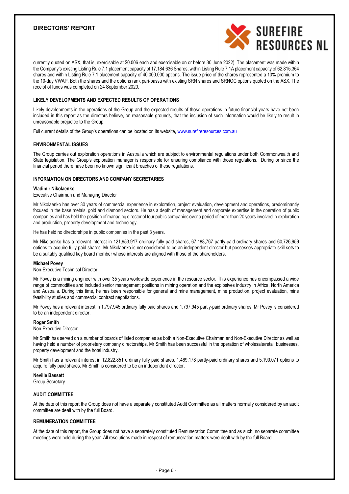

currently quoted on ASX, that is, exercisable at \$0.006 each and exercisable on or before 30 June 2022). The placement was made within the Company's existing Listing Rule 7.1 placement capacity of 17,184,636 Shares, within Listing Rule 7.1A placement capacity of 62,815,364 shares and within Listing Rule 7.1 placement capacity of 40,000,000 options. The issue price of the shares represented a 10% premium to the 10-day VWAP. Both the shares and the options rank pari-passu with existing SRN shares and SRNOC options quoted on the ASX. The receipt of funds was completed on 24 September 2020.

#### **LIKELY DEVELOPMENTS AND EXPECTED RESULTS OF OPERATIONS**

Likely developments in the operations of the Group and the expected results of those operations in future financial years have not been included in this report as the directors believe, on reasonable grounds, that the inclusion of such information would be likely to result in unreasonable prejudice to the Group.

Full current details of the Group's operations can be located on its website, www.surefireresources.com.au

#### **ENVIRONMENTAL ISSUES**

The Group carries out exploration operations in Australia which are subject to environmental regulations under both Commonwealth and State legislation. The Group's exploration manager is responsible for ensuring compliance with those regulations. During or since the financial period there have been no known significant breaches of these regulations.

# **INFORMATION ON DIRECTORS AND COMPANY SECRETARIES**

#### **Vladimir Nikolaenko**

Executive Chairman and Managing Director

Mr Nikolaenko has over 30 years of commercial experience in exploration, project evaluation, development and operations, predominantly focused in the base metals, gold and diamond sectors. He has a depth of management and corporate expertise in the operation of public companies and has held the position of managing director of four public companies over a period of more than 20 years involved in exploration and production, property development and technology.

He has held no directorships in public companies in the past 3 years.

Mr Nikolaenko has a relevant interest in 121,953,917 ordinary fully paid shares, 67,188,767 partly-paid ordinary shares and 60,726,959 options to acquire fully paid shares. Mr Nikolaenko is not considered to be an independent director but possesses appropriate skill sets to be a suitably qualified key board member whose interests are aligned with those of the shareholders.

#### **Michael Povey**

Non-Executive Technical Director

Mr Povey is a mining engineer with over 35 years worldwide experience in the resource sector. This experience has encompassed a wide range of commodities and included senior management positions in mining operation and the explosives industry in Africa, North America and Australia. During this time, he has been responsible for general and mine management, mine production, project evaluation, mine feasibility studies and commercial contract negotiations.

Mr Povey has a relevant interest in 1,797,945 ordinary fully paid shares and 1,797,945 partly-paid ordinary shares. Mr Povey is considered to be an independent director.

#### **Roger Smith**

Non-Executive Director

Mr Smith has served on a number of boards of listed companies as both a Non-Executive Chairman and Non-Executive Director as well as having held a number of proprietary company directorships. Mr Smith has been successful in the operation of wholesale/retail businesses, property development and the hotel industry.

Mr Smith has a relevant interest in 12,822,851 ordinary fully paid shares, 1,469,178 partly-paid ordinary shares and 5,190,071 options to acquire fully paid shares. Mr Smith is considered to be an independent director.

#### **Neville Bassett**

Group Secretary

#### **AUDIT COMMITTEE**

At the date of this report the Group does not have a separately constituted Audit Committee as all matters normally considered by an audit committee are dealt with by the full Board.

#### **REMUNERATION COMMITTEE**

At the date of this report, the Group does not have a separately constituted Remuneration Committee and as such, no separate committee meetings were held during the year. All resolutions made in respect of remuneration matters were dealt with by the full Board.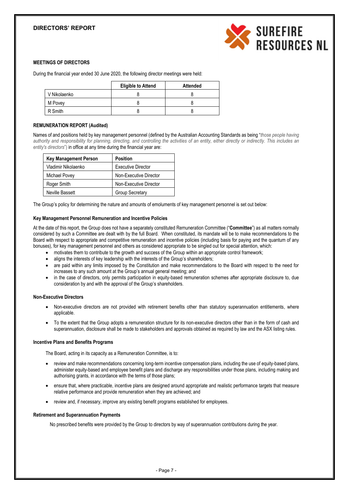

# **MEETINGS OF DIRECTORS**

During the financial year ended 30 June 2020, the following director meetings were held:

|              | <b>Eligible to Attend</b> | <b>Attended</b> |
|--------------|---------------------------|-----------------|
| V Nikolaenko |                           |                 |
| M Povey      |                           |                 |
| R Smith      |                           |                 |

#### **REMUNERATION REPORT (Audited)**

Names of and positions held by key management personnel (defined by the Australian Accounting Standards as being "*those people having authority and responsibility for planning, directing, and controlling the activities of an entity, either directly or indirectly. This includes an entity's directors*") in office at any time during the financial year are:

| <b>Key Management Person</b> | <b>Position</b>           |
|------------------------------|---------------------------|
| Vladimir Nikolaenko          | <b>Executive Director</b> |
| Michael Povey                | Non-Executive Director    |
| Roger Smith                  | Non-Executive Director    |
| Neville Bassett              | Group Secretary           |

The Group's policy for determining the nature and amounts of emoluments of key management personnel is set out below:

# **Key Management Personnel Remuneration and Incentive Policies**

At the date of this report, the Group does not have a separately constituted Remuneration Committee ("**Committee**") as all matters normally considered by such a Committee are dealt with by the full Board. When constituted, its mandate will be to make recommendations to the Board with respect to appropriate and competitive remuneration and incentive policies (including basis for paying and the quantum of any bonuses), for key management personnel and others as considered appropriate to be singled out for special attention, which:

- motivates them to contribute to the growth and success of the Group within an appropriate control framework;
- aligns the interests of key leadership with the interests of the Group's shareholders;
- are paid within any limits imposed by the Constitution and make recommendations to the Board with respect to the need for increases to any such amount at the Group's annual general meeting; and
- in the case of directors, only permits participation in equity-based remuneration schemes after appropriate disclosure to, due consideration by and with the approval of the Group's shareholders.

#### **Non-Executive Directors**

- Non-executive directors are not provided with retirement benefits other than statutory superannuation entitlements, where applicable.
- To the extent that the Group adopts a remuneration structure for its non-executive directors other than in the form of cash and superannuation, disclosure shall be made to stakeholders and approvals obtained as required by law and the ASX listing rules.

#### **Incentive Plans and Benefits Programs**

The Board, acting in its capacity as a Remuneration Committee, is to:

- review and make recommendations concerning long-term incentive compensation plans, including the use of equity-based plans, administer equity-based and employee benefit plans and discharge any responsibilities under those plans, including making and authorising grants, in accordance with the terms of those plans;
- ensure that, where practicable, incentive plans are designed around appropriate and realistic performance targets that measure relative performance and provide remuneration when they are achieved; and
- review and, if necessary, improve any existing benefit programs established for employees.

#### **Retirement and Superannuation Payments**

No prescribed benefits were provided by the Group to directors by way of superannuation contributions during the year.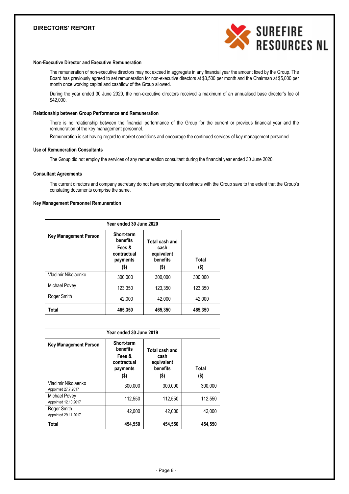

# **Non-Executive Director and Executive Remuneration**

The remuneration of non-executive directors may not exceed in aggregate in any financial year the amount fixed by the Group. The Board has previously agreed to set remuneration for non-executive directors at \$3,500 per month and the Chairman at \$5,000 per month once working capital and cashflow of the Group allowed.

During the year ended 30 June 2020, the non-executive directors received a maximum of an annualised base director's fee of \$42,000.

#### **Relationship between Group Performance and Remuneration**

There is no relationship between the financial performance of the Group for the current or previous financial year and the remuneration of the key management personnel.

Remuneration is set having regard to market conditions and encourage the continued services of key management personnel.

#### **Use of Remuneration Consultants**

The Group did not employ the services of any remuneration consultant during the financial year ended 30 June 2020.

#### **Consultant Agreements**

The current directors and company secretary do not have employment contracts with the Group save to the extent that the Group's constating documents comprise the same.

# **Key Management Personnel Remuneration**

| Year ended 30 June 2020      |                                                                        |                                                          |               |  |
|------------------------------|------------------------------------------------------------------------|----------------------------------------------------------|---------------|--|
| <b>Key Management Person</b> | Short-term<br>benefits<br>Fees &<br>contractual<br>payments<br>$($ \$) | Total cash and<br>cash<br>equivalent<br>benefits<br>(\$) | Total<br>(\$) |  |
| Vladimir Nikolaenko          | 300.000                                                                | 300.000                                                  | 300.000       |  |
| Michael Povey                | 123,350                                                                | 123,350                                                  | 123,350       |  |
| Roger Smith                  | 42.000                                                                 | 42.000                                                   | 42.000        |  |
| Total                        | 465,350                                                                | 465,350                                                  | 465.350       |  |

| Year ended 30 June 2019                    |                                                                     |                                                          |                  |  |
|--------------------------------------------|---------------------------------------------------------------------|----------------------------------------------------------|------------------|--|
| <b>Key Management Person</b>               | Short-term<br>benefits<br>Fees &<br>contractual<br>payments<br>(\$) | Total cash and<br>cash<br>equivalent<br>benefits<br>(\$) | Total<br>$($ \$) |  |
| Vladimir Nikolaenko<br>Appointed 27.7.2017 | 300.000                                                             | 300.000                                                  | 300,000          |  |
| Michael Povey<br>Appointed 12.10.2017      | 112,550                                                             | 112,550                                                  | 112,550          |  |
| Roger Smith<br>Appointed 29.11.2017        | 42.000                                                              | 42,000                                                   | 42,000           |  |
| Total                                      | 454.550                                                             | 454,550                                                  | 454,550          |  |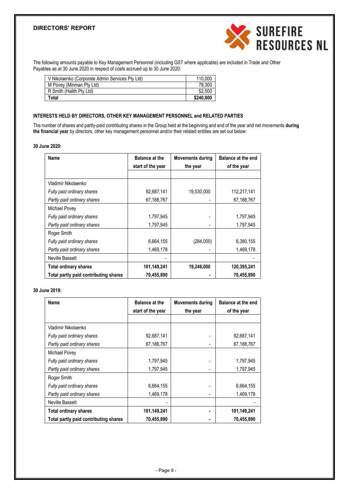

The following amounts payable to Key Management Personnel (including GST where applicable) are included in Trade and Other Payables as at 30 June 2020 in respect of costs accrued up to 30 June 2020:

| V Nikolaenko (Corporate Admin Services Pty Ltd) | 110,000   |
|-------------------------------------------------|-----------|
| M Povey (Minman Pty Ltd)                        | 78.300    |
| R Smith (Halith Pty Ltd)                        | 52.500    |
| Total                                           | \$240.800 |

#### **INTERESTS HELD BY DIRECTORS, OTHER KEY MANAGEMENT PERSONNEL and RELATED PARTIES**

The number of shares and partly-paid contributing shares in the Group held at the beginning and end of the year and net movements **during the financial year** by directors, other key management personnel and/or their related entities are set out below:

# **30 June 2020:**

| Name                                  | <b>Balance at the</b><br>start of the year | <b>Movements during</b><br>the year | Balance at the end<br>of the year |
|---------------------------------------|--------------------------------------------|-------------------------------------|-----------------------------------|
|                                       |                                            |                                     |                                   |
| Vladimir Nikolaenko                   |                                            |                                     |                                   |
| Fully paid ordinary shares            | 92,687,141                                 | 19,530,000                          | 112,217,141                       |
| Partly paid ordinary shares           | 67,188,767                                 |                                     | 67,188,767                        |
| Michael Povey                         |                                            |                                     |                                   |
| Fully paid ordinary shares            | 1,797,945                                  |                                     | 1,797,945                         |
| Partly paid ordinary shares           | 1,797,945                                  |                                     | 1,797,945                         |
| Roger Smith                           |                                            |                                     |                                   |
| Fully paid ordinary shares            | 6,664,155                                  | (284,000)                           | 6,380,155                         |
| Partly paid ordinary shares           | 1,469,178                                  |                                     | 1,469,178                         |
| Neville Bassett                       |                                            |                                     |                                   |
| <b>Total ordinary shares</b>          | 101,149,241                                | 19,246,000                          | 120,395,241                       |
| Total partly paid contributing shares | 70,455,890                                 |                                     | 70,455,890                        |

#### **30 June 2019:**

| Name                                  | <b>Balance at the</b> | <b>Movements during</b> | <b>Balance at the end</b> |
|---------------------------------------|-----------------------|-------------------------|---------------------------|
|                                       | start of the year     | the year                | of the year               |
|                                       |                       |                         |                           |
| Vladimir Nikolaenko                   |                       |                         |                           |
| Fully paid ordinary shares            | 92.687.141            |                         | 92,687,141                |
| Partly paid ordinary shares           | 67,188,767            |                         | 67,188,767                |
| Michael Povey                         |                       |                         |                           |
| Fully paid ordinary shares            | 1,797,945             |                         | 1,797,945                 |
| Partly paid ordinary shares           | 1.797.945             |                         | 1.797.945                 |
| Roger Smith                           |                       |                         |                           |
| Fully paid ordinary shares            | 6,664,155             |                         | 6,664,155                 |
| Partly paid ordinary shares           | 1,469,178             |                         | 1,469,178                 |
| Neville Bassett                       |                       |                         |                           |
| <b>Total ordinary shares</b>          | 101,149,241           |                         | 101,149,241               |
| Total partly paid contributing shares | 70,455,890            |                         | 70,455,890                |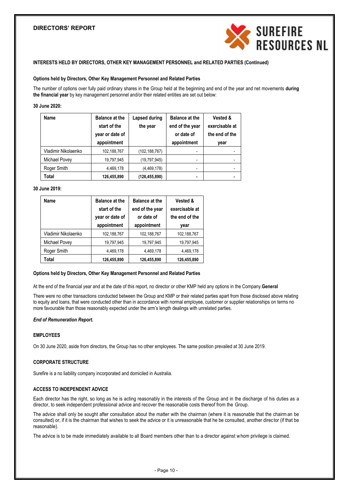

#### **INTERESTS HELD BY DIRECTORS, OTHER KEY MANAGEMENT PERSONNEL and RELATED PARTIES (Continued)**

#### **Options held by Directors, Other Key Management Personnel and Related Parties**

The number of options over fully paid ordinary shares in the Group held at the beginning and end of the year and net movements **during the financial year** by key management personnel and/or their related entities are set out below:

#### **30 June 2020:**

| Name                | <b>Balance at the</b><br>start of the<br>year or date of<br>appointment | Lapsed during<br>the year | <b>Balance at the</b><br>end of the year<br>or date of<br>appointment | Vested &<br>exercisable at<br>the end of the<br>year |
|---------------------|-------------------------------------------------------------------------|---------------------------|-----------------------------------------------------------------------|------------------------------------------------------|
| Vladimir Nikolaenko | 102,188,767                                                             | (102,188,767)             |                                                                       |                                                      |
| Michael Povey       | 19,797,945                                                              | (19,797,945)              | -                                                                     |                                                      |
| Roger Smith         | 4,469,178                                                               | (4,469,178)               |                                                                       |                                                      |
| Total               | 126,455,890                                                             | (126,455,890)             | ٠                                                                     |                                                      |

#### **30 June 2019:**

| Name                | <b>Balance at the</b><br>start of the<br>year or date of<br>appointment | <b>Balance at the</b><br>end of the year<br>or date of<br>appointment | <b>Vested &amp;</b><br>exercisable at<br>the end of the<br>vear |
|---------------------|-------------------------------------------------------------------------|-----------------------------------------------------------------------|-----------------------------------------------------------------|
| Vladimir Nikolaenko | 102,188,767                                                             | 102,188,767                                                           | 102,188,767                                                     |
| Michael Povey       | 19,797,945                                                              | 19,797,945                                                            | 19,797,945                                                      |
| Roger Smith         | 4,469,178                                                               | 4,469,178                                                             | 4,469,178                                                       |
| Total               | 126,455,890                                                             | 126,455,890                                                           | 126,455,890                                                     |

#### **Options held by Directors, Other Key Management Personnel and Related Parties**

At the end of the financial year and at the date of this report, no director or other KMP held any options in the Company.**General**

There were no other transactions conducted between the Group and KMP or their related parties apart from those disclosed above relating to equity and loans, that were conducted other than in accordance with normal employee, customer or supplier relationships on terms no more favourable than those reasonably expected under the arm's length dealings with unrelated parties.

#### *End of Remuneration Report.*

#### **EMPLOYEES**

On 30 June 2020, aside from directors, the Group has no other employees. The same position prevailed at 30 June 2019.

#### **CORPORATE STRUCTURE**

Surefire is a no liability company incorporated and domiciled in Australia.

# **ACCESS TO INDEPENDENT ADVICE**

Each director has the right, so long as he is acting reasonably in the interests of the Group and in the discharge of his duties as a director, to seek independent professional advice and recover the reasonable costs thereof from the Group.

The advice shall only be sought after consultation about the matter with the chairman (where it is reasonable that the chairman be consulted) or, if it is the chairman that wishes to seek the advice or it is unreasonable that he be consulted, another direc tor (if that be reasonable).

The advice is to be made immediately available to all Board members other than to a director against whom privilege is claimed.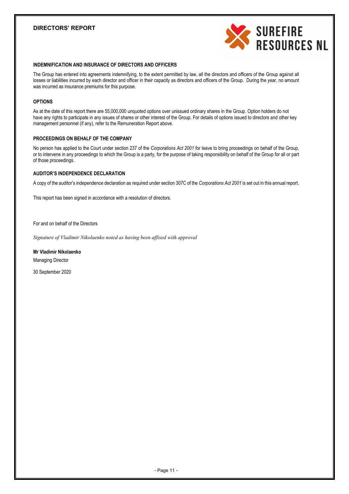

### **INDEMNIFICATION AND INSURANCE OF DIRECTORS AND OFFICERS**

The Group has entered into agreements indemnifying, to the extent permitted by law, all the directors and officers of the Group against all losses or liabilities incurred by each director and officer in their capacity as directors and officers of the Group. During the year, no amount was incurred as insurance premiums for this purpose.

#### **OPTIONS**

As at the date of this report there are 55,000,000 unquoted options over unissued ordinary shares in the Group. Option holders do not have any rights to participate in any issues of shares or other interest of the Group. For details of options issued to directors and other key management personnel (if any), refer to the Remuneration Report above.

# **PROCEEDINGS ON BEHALF OF THE COMPANY**

No person has applied to the Court under section 237 of the *Corporations Act 2001* for leave to bring proceedings on behalf of the Group, or to intervene in any proceedings to which the Group is a party, for the purpose of taking responsibility on behalf of the Group for all or part of those proceedings.

# **AUDITOR'S INDEPENDENCE DECLARATION**

A copy of the auditor's independence declaration as required under section 307C of the *Corporations Act 2001* is set out in this annual report.

This report has been signed in accordance with a resolution of directors.

For and on behalf of the Directors

*Signature of Vladimir Nikolaenko noted as having been affixed with approval*

#### **Mr Vladimir Nikolaenko**

Managing Director

30 September 2020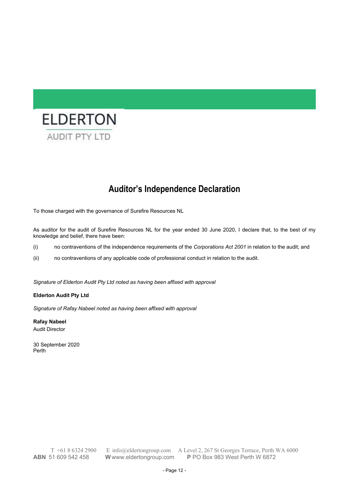

# **Auditor's Independence Declaration**

To those charged with the governance of Surefire Resources NL

As auditor for the audit of Surefire Resources NL for the year ended 30 June 2020, I declare that, to the best of my knowledge and belief, there have been:

- (i) no contraventions of the independence requirements of the *Corporations Act 2001* in relation to the audit; and
- (ii) no contraventions of any applicable code of professional conduct in relation to the audit.

*Signature of Elderton Audit Pty Ltd noted as having been affixed with approval*

# **Elderton Audit Pty Ltd**

*Signature of Rafay Nabeel noted as having been affixed with approval*

**Rafay Nabeel** Audit Director

30 September 2020 Perth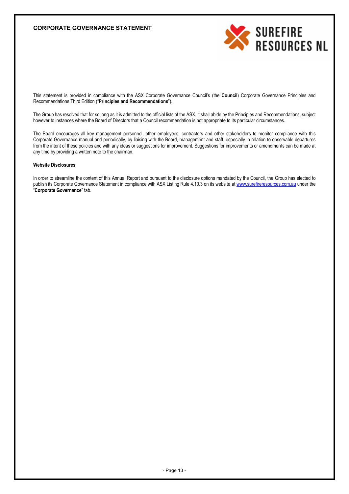# **CORPORATE GOVERNANCE STATEMENT**



This statement is provided in compliance with the ASX Corporate Governance Council's (the **Council**) Corporate Governance Principles and Recommendations Third Edition ("**Principles and Recommendations**").

The Group has resolved that for so long as it is admitted to the official lists of the ASX, it shall abide by the Principles and Recommendations, subject however to instances where the Board of Directors that a Council recommendation is not appropriate to its particular circumstances.

The Board encourages all key management personnel, other employees, contractors and other stakeholders to monitor compliance with this Corporate Governance manual and periodically, by liaising with the Board, management and staff, especially in relation to observable departures from the intent of these policies and with any ideas or suggestions for improvement. Suggestions for improvements or amendments can be made at any time by providing a written note to the chairman.

#### **Website Disclosures**

In order to streamline the content of this Annual Report and pursuant to the disclosure options mandated by the Council, the Group has elected to publish its Corporate Governance Statement in compliance with ASX Listing Rule 4.10.3 on its website at www.surefireresources.com.au under the "**Corporate Governance**" tab.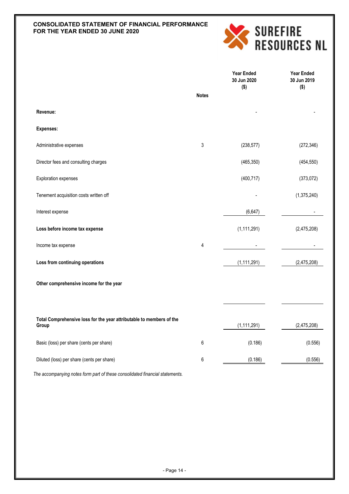# **CONSOLIDATED STATEMENT OF FINANCIAL PERFORMANCE FOR THE YEAR ENDED 30 JUNE 2020**



|                                                                               |              | <b>Year Ended</b><br>30 Jun 2020<br>$($ \$) | <b>Year Ended</b><br>30 Jun 2019<br>$($ \$) |
|-------------------------------------------------------------------------------|--------------|---------------------------------------------|---------------------------------------------|
|                                                                               | <b>Notes</b> |                                             |                                             |
| Revenue:                                                                      |              |                                             |                                             |
| <b>Expenses:</b>                                                              |              |                                             |                                             |
| Administrative expenses                                                       | 3            | (238, 577)                                  | (272, 346)                                  |
| Director fees and consulting charges                                          |              | (465, 350)                                  | (454, 550)                                  |
| <b>Exploration expenses</b>                                                   |              | (400, 717)                                  | (373, 072)                                  |
| Tenement acquisition costs written off                                        |              |                                             | (1,375,240)                                 |
| Interest expense                                                              |              | (6,647)                                     |                                             |
| Loss before income tax expense                                                |              | (1, 111, 291)                               | (2,475,208)                                 |
| Income tax expense                                                            | 4            |                                             |                                             |
| Loss from continuing operations                                               |              | (1, 111, 291)                               | (2,475,208)                                 |
| Other comprehensive income for the year                                       |              |                                             |                                             |
|                                                                               |              |                                             |                                             |
| Total Comprehensive loss for the year attributable to members of the<br>Group |              | (1, 111, 291)                               | (2,475,208)                                 |
| Basic (loss) per share (cents per share)                                      | 6            | (0.186)                                     | (0.556)                                     |
| Diluted (loss) per share (cents per share)                                    | 6            | (0.186)                                     | (0.556)                                     |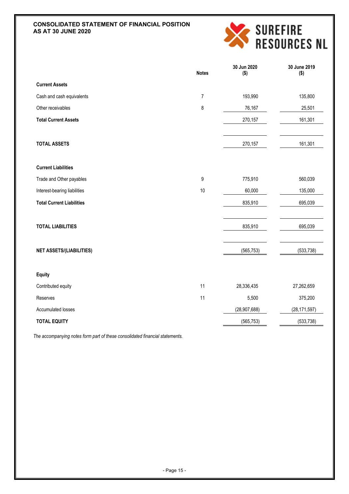# **CONSOLIDATED STATEMENT OF FINANCIAL POSITION AS AT 30 JUNE 2020**



|                                  | <b>Notes</b>   | 30 Jun 2020<br>$($ \$) | 30 June 2019<br>$($ \$) |
|----------------------------------|----------------|------------------------|-------------------------|
| <b>Current Assets</b>            |                |                        |                         |
| Cash and cash equivalents        | $\overline{7}$ | 193,990                | 135,800                 |
| Other receivables                | 8              | 76,167                 | 25,501                  |
| <b>Total Current Assets</b>      |                | 270,157                | 161,301                 |
| <b>TOTAL ASSETS</b>              |                | 270,157                | 161,301                 |
| <b>Current Liabilities</b>       |                |                        |                         |
| Trade and Other payables         | 9              | 775,910                | 560,039                 |
| Interest-bearing liabilities     | $10$           | 60,000                 | 135,000                 |
| <b>Total Current Liabilities</b> |                | 835,910                | 695,039                 |
| <b>TOTAL LIABILITIES</b>         |                | 835,910                | 695,039                 |
| <b>NET ASSETS/(LIABILITIES)</b>  |                | (565, 753)             | (533, 738)              |
| <b>Equity</b>                    |                |                        |                         |
| Contributed equity               | 11             | 28,336,435             | 27,262,659              |
| Reserves                         | 11             | 5,500                  | 375,200                 |
| Accumulated losses               |                | (28, 907, 688)         | (28, 171, 597)          |
| <b>TOTAL EQUITY</b>              |                | (565, 753)             | (533, 738)              |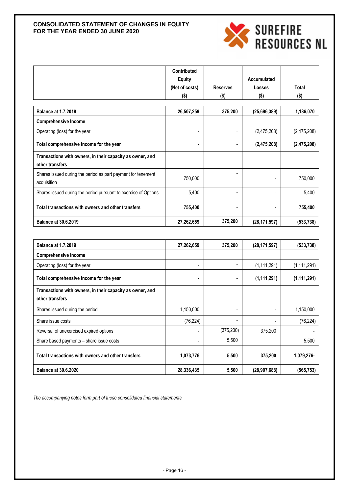# **CONSOLIDATED STATEMENT OF CHANGES IN EQUITY FOR THE YEAR ENDED 30 JUNE 2020**



|                                                                              | <b>Contributed</b><br><b>Equity</b><br>(Net of costs) | <b>Reserves</b> | Accumulated<br>Losses | <b>Total</b> |
|------------------------------------------------------------------------------|-------------------------------------------------------|-----------------|-----------------------|--------------|
|                                                                              | $($ \$)                                               | $($ \$)         | $($ \$)               | $($ \$)      |
|                                                                              |                                                       |                 |                       |              |
| <b>Balance at 1.7.2018</b>                                                   | 26,507,259                                            | 375,200         | (25,696,389)          | 1,186,070    |
| <b>Comprehensive Income</b>                                                  |                                                       |                 |                       |              |
| Operating (loss) for the year                                                | ۰                                                     |                 | (2,475,208)           | (2,475,208)  |
| Total comprehensive income for the year                                      | ٠                                                     |                 | (2,475,208)           | (2,475,208)  |
| Transactions with owners, in their capacity as owner, and<br>other transfers |                                                       |                 |                       |              |
| Shares issued during the period as part payment for tenement<br>acquisition  | 750,000                                               |                 |                       | 750,000      |
| Shares issued during the period pursuant to exercise of Options              | 5,400                                                 | ۰               |                       | 5,400        |
| Total transactions with owners and other transfers                           | 755,400                                               |                 |                       | 755,400      |
| <b>Balance at 30.6.2019</b>                                                  | 27,262,659                                            | 375,200         | (28, 171, 597)        | (533, 738)   |

| <b>Balance at 1.7.2019</b>                                                   | 27,262,659     | 375,200    | (28, 171, 597) | (533, 738)    |
|------------------------------------------------------------------------------|----------------|------------|----------------|---------------|
| <b>Comprehensive Income</b>                                                  |                |            |                |               |
| Operating (loss) for the year                                                | -              |            | (1, 111, 291)  | (1, 111, 291) |
| Total comprehensive income for the year                                      | $\blacksquare$ | ۰          | (1, 111, 291)  | (1, 111, 291) |
| Transactions with owners, in their capacity as owner, and<br>other transfers |                |            |                |               |
| Shares issued during the period                                              | 1,150,000      | -          |                | 1,150,000     |
| Share issue costs                                                            | (76, 224)      | ۰          |                | (76, 224)     |
| Reversal of unexercised expired options                                      | ۰              | (375, 200) | 375,200        |               |
| Share based payments – share issue costs                                     |                | 5,500      |                | 5,500         |
| Total transactions with owners and other transfers                           | 1,073,776      | 5,500      | 375,200        | 1,079,276-    |
| <b>Balance at 30.6.2020</b>                                                  | 28,336,435     | 5,500      | (28, 907, 688) | (565,753)     |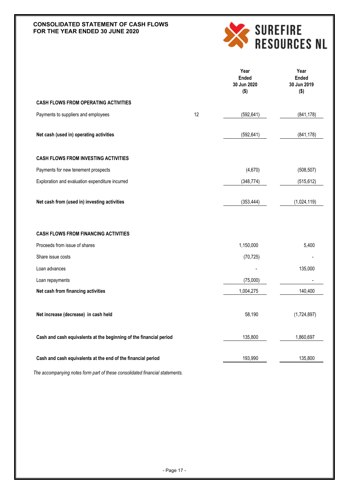# **CONSOLIDATED STATEMENT OF CASH FLOWS FOR THE YEAR ENDED 30 JUNE 2020**



|                                                                    |    | Year<br><b>Ended</b><br>30 Jun 2020<br>$($ \$) | Year<br><b>Ended</b><br>30 Jun 2019<br>$($ \$) |
|--------------------------------------------------------------------|----|------------------------------------------------|------------------------------------------------|
| <b>CASH FLOWS FROM OPERATING ACTIVITIES</b>                        |    |                                                |                                                |
| Payments to suppliers and employees                                | 12 | (592, 641)                                     | (841, 178)                                     |
| Net cash (used in) operating activities                            |    | (592, 641)                                     | (841, 178)                                     |
| <b>CASH FLOWS FROM INVESTING ACTIVITIES</b>                        |    |                                                |                                                |
| Payments for new tenement prospects                                |    | (4,670)                                        | (508, 507)                                     |
| Exploration and evaluation expenditure incurred                    |    | (348, 774)                                     | (515, 612)                                     |
| Net cash from (used in) investing activities                       |    | (353, 444)                                     | (1,024,119)                                    |
| <b>CASH FLOWS FROM FINANCING ACTIVITIES</b>                        |    |                                                |                                                |
| Proceeds from issue of shares                                      |    | 1,150,000                                      | 5,400                                          |
| Share issue costs                                                  |    | (70, 725)                                      |                                                |
| Loan advances                                                      |    |                                                | 135,000                                        |
| Loan repayments                                                    |    | (75,000)                                       |                                                |
| Net cash from financing activities                                 |    | 1,004,275                                      | 140,400                                        |
| Net increase (decrease) in cash held                               |    | 58,190                                         | (1,724,897)                                    |
| Cash and cash equivalents at the beginning of the financial period |    | 135,800                                        | 1,860,697                                      |
| Cash and cash equivalents at the end of the financial period       |    | 193,990                                        | 135,800                                        |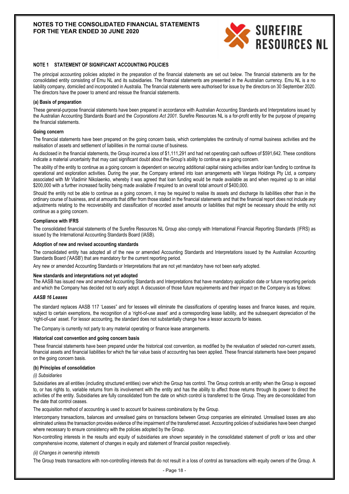

#### **NOTE 1 STATEMENT OF SIGNIFICANT ACCOUNTING POLICIES**

The principal accounting policies adopted in the preparation of the financial statements are set out below. The financial statements are for the consolidated entity consisting of Emu NL and its subsidiaries. The financial statements are presented in the Australian currency. Emu NL is a no liability company, domiciled and incorporated in Australia. The financial statements were authorised for issue by the directors on 30 September 2020. The directors have the power to amend and reissue the financial statements.

#### **(a) Basis of preparation**

These general-purpose financial statements have been prepared in accordance with Australian Accounting Standards and Interpretations issued by the Australian Accounting Standards Board and the *Corporations Act 2001*. Surefire Resources NL is a for-profit entity for the purpose of preparing the financial statements.

#### **Going concern**

The financial statements have been prepared on the going concern basis, which contemplates the continuity of normal business activities and the realisation of assets and settlement of liabilities in the normal course of business.

As disclosed in the financial statements, the Group incurred a loss of \$1,111,291 and had net operating cash outflows of \$591,642. These conditions indicate a material uncertainty that may cast significant doubt about the Group's ability to continue as a going concern.

The ability of the entity to continue as a going concern is dependent on securing additional capital raising activities and/or loan funding to continue its operational and exploration activities. During the year, the Company entered into loan arrangements with Vargas Holdings Pty Ltd, a company associated with Mr Vladimir Nikolaenko, whereby it was agreed that loan funding would be made available as and when required up to an initial \$200,000 with a further increased facility being made available if required to an overall total amount of \$400,000.

Should the entity not be able to continue as a going concern, it may be required to realise its assets and discharge its liabilities other than in the ordinary course of business, and at amounts that differ from those stated in the financial statements and that the financial report does not include any adjustments relating to the recoverability and classification of recorded asset amounts or liabilities that might be necessary should the entity not continue as a going concern.

#### **Compliance with IFRS**

The consolidated financial statements of the Surefire Resources NL Group also comply with International Financial Reporting Standards (IFRS) as issued by the International Accounting Standards Board (IASB).

#### **Adoption of new and revised accounting standards**

The consolidated entity has adopted all of the new or amended Accounting Standards and Interpretations issued by the Australian Accounting Standards Board ('AASB') that are mandatory for the current reporting period.

Any new or amended Accounting Standards or Interpretations that are not yet mandatory have not been early adopted.

#### **New standards and interpretations not yet adopted**

The AASB has issued new and amended Accounting Standards and Interpretations that have mandatory application date or future reporting periods and which the Company has decided not to early adopt. A discussion of those future requirements and their impact on the Company is as follows:

#### *AASB 16 Leases*

The standard replaces AASB 117 'Leases" and for lessees will eliminate the classifications of operating leases and finance leases, and require, subject to certain exemptions, the recognition of a 'right-of-use asset' and a corresponding lease liability, and the subsequent depreciation of the 'right-of-use' asset. For lessor accounting, the standard does not substantially change how a lessor accounts for leases.

The Company is currently not party to any material operating or finance lease arrangements.

#### **Historical cost convention and going concern basis**

These financial statements have been prepared under the historical cost convention, as modified by the revaluation of selected non-current assets, financial assets and financial liabilities for which the fair value basis of accounting has been applied. These financial statements have been prepared on the going concern basis.

#### **(b) Principles of consolidation**

#### *(i) Subsidiaries*

Subsidiaries are all entities (including structured entities) over which the Group has control. The Group controls an entity when the Group is exposed to, or has rights to, variable returns from its involvement with the entity and has the ability to affect those returns through its power to direct the activities of the entity. Subsidiaries are fully consolidated from the date on which control is transferred to the Group. They are de-consolidated from the date that control ceases.

The acquisition method of accounting is used to account for business combinations by the Group.

Intercompany transactions, balances and unrealised gains on transactions between Group companies are eliminated. Unrealised losses are also eliminated unless the transaction provides evidence of the impairment of the transferred asset. Accounting policies of subsidiaries have been changed where necessary to ensure consistency with the policies adopted by the Group.

Non-controlling interests in the results and equity of subsidiaries are shown separately in the consolidated statement of profit or loss and other comprehensive income, statement of changes in equity and statement of financial position respectively.

#### *(ii) Changes in ownership interests*

The Group treats transactions with non-controlling interests that do not result in a loss of control as transactions with equity owners of the Group. A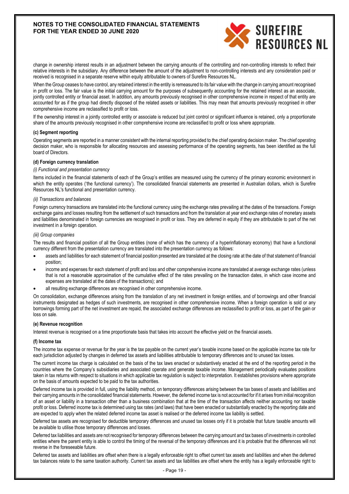

change in ownership interest results in an adjustment between the carrying amounts of the controlling and non-controlling interests to reflect their relative interests in the subsidiary. Any difference between the amount of the adjustment to non-controlling interests and any consideration paid or received is recognised in a separate reserve within equity attributable to owners of Surefire Resources NL.

When the Group ceases to have control, any retained interest in the entity is remeasured to its fair value with the change in carrying amount recognised in profit or loss. The fair value is the initial carrying amount for the purposes of subsequently accounting for the retained interest as an associate. jointly controlled entity or financial asset. In addition, any amounts previously recognised in other comprehensive income in respect of that entity are accounted for as if the group had directly disposed of the related assets or liabilities. This may mean that amounts previously recognised in other comprehensive income are reclassified to profit or loss.

If the ownership interest in a jointly controlled entity or associate is reduced but joint control or significant influence is retained, only a proportionate share of the amounts previously recognised in other comprehensive income are reclassified to profit or loss where appropriate.

#### **(c) Segment reporting**

Operating segments are reported in a manner consistent with the internal reporting provided to the chief operating decision maker. The chief operating decision maker, who is responsible for allocating resources and assessing performance of the operating segments, has been identified as the full board of Directors.

#### **(d) Foreign currency translation**

#### *(i) Functional and presentation currency*

Items included in the financial statements of each of the Group's entities are measured using the currency of the primary economic environment in which the entity operates ('the functional currency'). The consolidated financial statements are presented in Australian dollars, which is Surefire Resources NL's functional and presentation currency.

#### *(ii) Transactions and balances*

Foreign currency transactions are translated into the functional currency using the exchange rates prevailing at the dates of the transactions. Foreign exchange gains and losses resulting from the settlement of such transactions and from the translation at year end exchange rates of monetary assets and liabilities denominated in foreign currencies are recognised in profit or loss. They are deferred in equity if they are attributable to part of the net investment in a foreign operation.

#### *(iii) Group companies*

The results and financial position of all the Group entities (none of which has the currency of a hyperinflationary economy) that have a functional currency different from the presentation currency are translated into the presentation currency as follows:

- assets and liabilities for each statement of financial position presented are translated at the closing rate at the date of that statement of financial position;
- income and expenses for each statement of profit and loss and other comprehensive income are translated at average exchange rates (unless that is not a reasonable approximation of the cumulative effect of the rates prevailing on the transaction dates, in which case income and expenses are translated at the dates of the transactions); and
- all resulting exchange differences are recognised in other comprehensive income.

On consolidation, exchange differences arising from the translation of any net investment in foreign entities, and of borrowings and other financial instruments designated as hedges of such investments, are recognised in other comprehensive income. When a foreign operation is sold or any borrowings forming part of the net investment are repaid, the associated exchange differences are reclassified to profit or loss, as part of the gain or loss on sale.

#### **(e) Revenue recognition**

Interest revenue is recognised on a time proportionate basis that takes into account the effective yield on the financial assets.

#### **(f) Income tax**

The income tax expense or revenue for the year is the tax payable on the current year's taxable income based on the applicable income tax rate for each jurisdiction adjusted by changes in deferred tax assets and liabilities attributable to temporary differences and to unused tax losses.

The current income tax charge is calculated on the basis of the tax laws enacted or substantively enacted at the end of the reporting period in the countries where the Company's subsidiaries and associated operate and generate taxable income. Management periodically evaluates positions taken in tax returns with respect to situations in which applicable tax regulation is subject to interpretation. It establishes provisions where appropriate on the basis of amounts expected to be paid to the tax authorities.

Deferred income tax is provided in full, using the liability method, on temporary differences arising between the tax bases of assets and liabilities and their carrying amounts in the consolidated financial statements. However, the deferred income tax is not accounted for if it arises from initial recognition of an asset or liability in a transaction other than a business combination that at the time of the transaction affects neither accounting nor taxable profit or loss. Deferred income tax is determined using tax rates (and laws) that have been enacted or substantially enacted by the reporting date and are expected to apply when the related deferred income tax asset is realised or the deferred income tax liability is settled.

Deferred tax assets are recognised for deductible temporary differences and unused tax losses only if it is probable that future taxable amounts will be available to utilise those temporary differences and losses.

Deferred tax liabilities and assets are not recognised for temporary differences between the carrying amount and tax bases of investments in controlled entities where the parent entity is able to control the timing of the reversal of the temporary differences and it is probable that the differences will not reverse in the foreseeable future.

Deferred tax assets and liabilities are offset when there is a legally enforceable right to offset current tax assets and liabilities and when the deferred tax balances relate to the same taxation authority. Current tax assets and tax liabilities are offset where the entity has a legally enforceable right to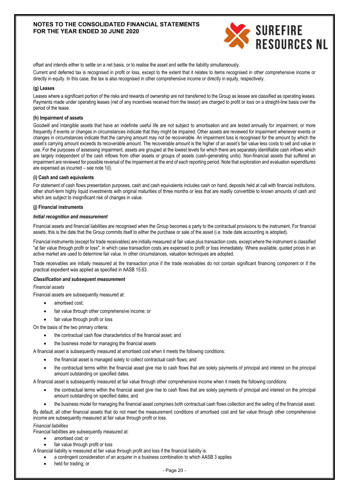

offset and intends either to settle on a net basis, or to realise the asset and settle the liability simultaneously.

Current and deferred tax is recognised in profit or loss, except to the extent that it relates to items recognised in other comprehensive income or directly in equity. In this case, the tax is also recognised in other comprehensive income or directly in equity, respectively.

#### **(g) Leases**

Leases where a significant portion of the risks and rewards of ownership are not transferred to the Group as lessee are classified as operating leases. Payments made under operating leases (net of any incentives received from the lessor) are charged to profit or loss on a straight-line basis over the period of the lease.

#### **(h) Impairment of assets**

Goodwill and intangible assets that have an indefinite useful life are not subject to amortisation and are tested annually for impairment, or more frequently if events or changes in circumstances indicate that they might be impaired. Other assets are reviewed for impairment whenever events or changes in circumstances indicate that the carrying amount may not be recoverable. An impairment loss is recognised for the amount by which the asset's carrying amount exceeds its recoverable amount. The recoverable amount is the higher of an asset's fair value less costs to sell and value in use. For the purposes of assessing impairment, assets are grouped at the lowest levels for which there are separately identifiable cash inflows which are largely independent of the cash inflows from other assets or groups of assets (cash-generating units). Non-financial assets that suffered an impairment are reviewed for possible reversal of the impairment at the end of each reporting period. Note that exploration and evaluation expenditures are expensed as incurred – see note 1(l).

# **(i) Cash and cash equivalents**

For statement of cash flows presentation purposes, cash and cash equivalents includes cash on hand, deposits held at call with financial institutions, other short-term highly liquid investments with original maturities of three months or less that are readily convertible to known amounts of cash and which are subject to insignificant risk of changes in value.

# **(j) Financial instruments**

#### *Initial recognition and measurement*

Financial assets and financial liabilities are recognised when the Group becomes a party to the contractual provisions to the instrument. For financial assets, this is the date that the Group commits itself to either the purchase or sale of the asset (i.e. trade date accounting is adopted).

Financial instruments (except for trade receivables) are initially measured at fair value plus transaction costs, except where the instrument is classified "at fair value through profit or loss", in which case transaction costs are expensed to profit or loss immediately. Where available, quoted prices in an active market are used to determine fair value. In other circumstances, valuation techniques are adopted.

Trade receivables are initially measured at the transaction price if the trade receivables do not contain significant financing component or if the practical expedient was applied as specified in AASB 15.63.

#### *Classification and subsequent measurement*

# *Financial assets*

Financial assets are subsequently measured at:

- amortised cost;
- fair value through other comprehensive income; or
- fair value through profit or loss

On the basis of the two primary criteria:

- the contractual cash flow characteristics of the financial asset; and
- the business model for managing the financial assets

A financial asset is subsequently measured at amortised cost when it meets the following conditions:

- the financial asset is managed solely to collect contractual cash flows; and
- the contractual terms within the financial asset give rise to cash flows that are solely payments of principal and interest on the principal amount outstanding on specified dates.

A financial asset is subsequently measured at fair value through other comprehensive income when it meets the following conditions:

- the contractual terms within the financial asset give rise to cash flows that are solely payments of principal and interest on the principal amount outstanding on specified dates; and
- the business model for managing the financial asset comprises both contractual cash flows collection and the selling of the financial asset.

By default, all other financial assets that do not meet the measurement conditions of amortised cost and fair value through other comprehensive income are subsequently measured at fair value through profit or loss.

*Financial liabilities*

- Financial liabilities are subsequently measured at:
	- amortised cost; or
	- fair value through profit or loss
- A financial liability is measured at fair value through profit and loss if the financial liability is:
	- a contingent consideration of an acquirer in a business combination to which AASB 3 applies
		- held for trading; or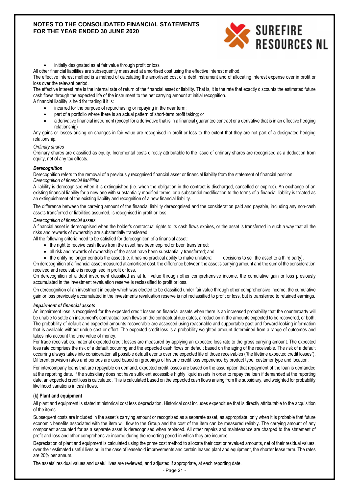

initially designated as at fair value through profit or loss

All other financial liabilities are subsequently measured at amortised cost using the effective interest method.

The effective interest method is a method of calculating the amortised cost of a debt instrument and of allocating interest expense over in profit or loss over the relevant period.

The effective interest rate is the internal rate of return of the financial asset or liability. That is, it is the rate that exactly discounts the estimated future cash flows through the expected life of the instrument to the net carrying amount at initial recognition.

A financial liability is held for trading if it is:

- incurred for the purpose of repurchasing or repaying in the near term;
- part of a portfolio where there is an actual pattern of short-term profit taking; or
- a derivative financial instrument (except for a derivative that is in a financial guarantee contract or a derivative that is in an effective hedging relationship)

Any gains or losses arising on changes in fair value are recognised in profit or loss to the extent that they are not part of a designated hedging relationship.

#### *Ordinary shares*

Ordinary shares are classified as equity. Incremental costs directly attributable to the issue of ordinary shares are recognised as a deduction from equity, net of any tax effects.

#### *Derecognition*

Derecognition refers to the removal of a previously recognised financial asset or financial liability from the statement of financial position. *Derecognition of financial liabilities*

A liability is derecognised when it is extinguished (i.e. when the obligation in the contract is discharged, cancelled or expires). An exchange of an existing financial liability for a new one with substantially modified terms, or a substantial modification to the terms of a financial liability is treated as an extinguishment of the existing liability and recognition of a new financial liability.

The difference between the carrying amount of the financial liability derecognised and the consideration paid and payable, including any non-cash assets transferred or liabilities assumed, is recognised in profit or loss.

#### *Derecognition of financial assets*

A financial asset is derecognised when the holder's contractual rights to its cash flows expires, or the asset is transferred in such a way that all the risks and rewards of ownership are substantially transferred.

All the following criteria need to be satisfied for derecognition of a financial asset:

- the right to receive cash flows from the asset has been expired or been transferred;
- all risk and rewards of ownership of the asset have been substantially transferred; and
- the entity no longer controls the asset (i.e. it has no practical ability to make unilateral decisions to sell the asset to a third party).

On derecognition of a financial asset measured at amortised cost, the difference between the asset's carrying amount and the sum of the consideration received and receivable is recognised in profit or loss.

On derecognition of a debt instrument classified as at fair value through other comprehensive income, the cumulative gain or loss previously accumulated in the investment revaluation reserve is reclassified to profit or loss.

On derecognition of an investment in equity which was elected to be classified under fair value through other comprehensive income, the cumulative gain or loss previously accumulated in the investments revaluation reserve is not reclassified to profit or loss, but is transferred to retained earnings.

#### *Impairment of financial assets*

An impairment loss is recognised for the expected credit losses on financial assets when there is an increased probability that the counterparty will be unable to settle an instrument's contractual cash flows on the contractual due dates, a reduction in the amounts expected to be recovered, or both. The probability of default and expected amounts recoverable are assessed using reasonable and supportable past and forward-looking information that is available without undue cost or effort. The expected credit loss is a probability-weighted amount determined from a range of outcomes and takes into account the time value of money.

For trade receivables, material expected credit losses are measured by applying an expected loss rate to the gross carrying amount. The expected loss rate comprises the risk of a default occurring and the expected cash flows on default based on the aging of the receivable. The *r*isk of a default occurring always takes into consideration all possible default events over the expected life of those receivables ("the lifetime expected credit losses"). Different provision rates and periods are used based on groupings of historic credit loss experience by product type, customer type and location.

For intercompany loans that are repayable on demand, expected credit losses are based on the assumption that repayment of the loan is demanded at the reporting date. If the subsidiary does not have sufficient accessible highly liquid assets in order to repay the loan if demanded at the reporting date, an expected credit loss is calculated. This is calculated based on the expected cash flows arising from the subsidiary, and weighted for probability likelihood variations in cash flows.

#### **(k) Plant and equipment**

All plant and equipment is stated at historical cost less depreciation. Historical cost includes expenditure that is directly attributable to the acquisition of the items.

Subsequent costs are included in the asset's carrying amount or recognised as a separate asset, as appropriate, only when it is probable that future economic benefits associated with the item will flow to the Group and the cost of the item can be measured reliably. The carrying amount of any component accounted for as a separate asset is derecognised when replaced. All other repairs and maintenance are charged to the statement of profit and loss and other comprehensive income during the reporting period in which they are incurred.

Depreciation of plant and equipment is calculated using the prime cost method to allocate their cost or revalued amounts, net of their residual values, over their estimated useful lives or, in the case of leasehold improvements and certain leased plant and equipment, the shorter lease term. The rates are 20% per annum.

The assets' residual values and useful lives are reviewed, and adjusted if appropriate, at each reporting date.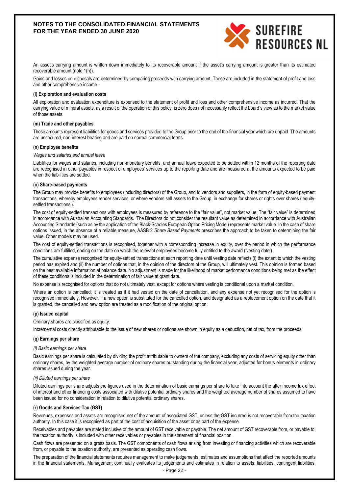

An asset's carrying amount is written down immediately to its recoverable amount if the asset's carrying amount is greater than its estimated recoverable amount (note 1(h)).

Gains and losses on disposals are determined by comparing proceeds with carrying amount. These are included in the statement of profit and loss and other comprehensive income.

#### **(l) Exploration and evaluation costs**

All exploration and evaluation expenditure is expensed to the statement of profit and loss and other comprehensive income as incurred. That the carrying value of mineral assets, as a result of the operation of this policy, is zero does not necessarily reflect the board's view as to the market value of those assets.

#### **(m) Trade and other payables**

These amounts represent liabilities for goods and services provided to the Group prior to the end of the financial year which are unpaid. The amounts are unsecured, non-interest bearing and are paid on normal commercial terms.

#### **(n) Employee benefits**

#### *Wages and salaries and annual leave*

Liabilities for wages and salaries, including non-monetary benefits, and annual leave expected to be settled within 12 months of the reporting date are recognised in other payables in respect of employees' services up to the reporting date and are measured at the amounts expected to be paid when the liabilities are settled.

#### **(o) Share-based payments**

The Group may provide benefits to employees (including directors) of the Group, and to vendors and suppliers, in the form of equity-based payment transactions, whereby employees render services, or where vendors sell assets to the Group, in exchange for shares or rights over shares ('equitysettled transactions').

The cost of equity-settled transactions with employees is measured by reference to the "fair value", not market value. The "fair value" is determined in accordance with Australian Accounting Standards. The Directors do not consider the resultant value as determined in accordance with Australian Accounting Standards (such as by the application of the Black-Scholes European Option Pricing Model) represents market value. In the case of share options issued, in the absence of a reliable measure, AASB 2 *Share Based Payments* prescribes the approach to be taken to determining the fair value. Other models may be used.

The cost of equity-settled transactions is recognised, together with a corresponding increase in equity, over the period in which the performance conditions are fulfilled, ending on the date on which the relevant employees become fully entitled to the award ('vesting date').

The cumulative expense recognised for equity-settled transactions at each reporting date until vesting date reflects (i) the extent to which the vesting period has expired and (ii) the number of options that, in the opinion of the directors of the Group, will ultimately vest. This opinion is formed based on the best available information at balance date. No adjustment is made for the likelihood of market performance conditions being met as the effect of these conditions is included in the determination of fair value at grant date.

No expense is recognised for options that do not ultimately vest, except for options where vesting is conditional upon a market condition.

Where an option is cancelled, it is treated as if it had vested on the date of cancellation, and any expense not yet recognised for the option is recognised immediately. However, if a new option is substituted for the cancelled option, and designated as a replacement option on the date that it is granted, the cancelled and new option are treated as a modification of the original option.

#### **(p) Issued capital**

Ordinary shares are classified as equity.

Incremental costs directly attributable to the issue of new shares or options are shown in equity as a deduction, net of tax, from the proceeds.

#### **(q) Earnings per share**

#### *(i) Basic earnings per share*

Basic earnings per share is calculated by dividing the profit attributable to owners of the company, excluding any costs of servicing equity other than ordinary shares, by the weighted average number of ordinary shares outstanding during the financial year, adjusted for bonus elements in ordinary shares issued during the year.

#### *(ii) Diluted earnings per share*

Diluted earnings per share adjusts the figures used in the determination of basic earnings per share to take into account the after income tax effect of interest and other financing costs associated with dilutive potential ordinary shares and the weighted average number of shares assumed to have been issued for no consideration in relation to dilutive potential ordinary shares.

#### **(r) Goods and Services Tax (GST)**

Revenues, expenses and assets are recognised net of the amount of associated GST, unless the GST incurred is not recoverable from the taxation authority. In this case it is recognised as part of the cost of acquisition of the asset or as part of the expense.

Receivables and payables are stated inclusive of the amount of GST receivable or payable. The net amount of GST recoverable from, or payable to, the taxation authority is included with other receivables or payables in the statement of financial position.

Cash flows are presented on a gross basis. The GST components of cash flows arising from investing or financing activities which are recoverable from, or payable to the taxation authority, are presented as operating cash flows.

The preparation of the financial statements requires management to make judgements, estimates and assumptions that affect the reported amounts in the financial statements. Management continually evaluates its judgements and estimates in relation to assets, liabilities, contingent liabilities,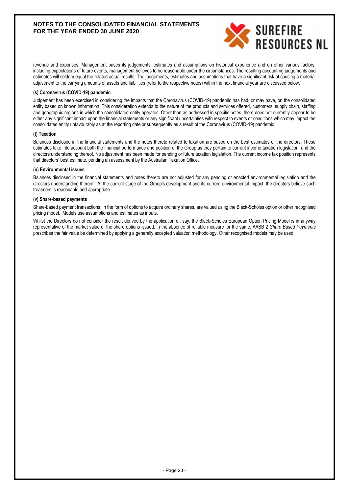

revenue and expenses. Management bases its judgements, estimates and assumptions on historical experience and on other various factors, including expectations of future events, management believes to be reasonable under the circumstances. The resulting accounting judgements and estimates will seldom equal the related actual results. The judgements, estimates and assumptions that have a significant risk of causing a material adjustment to the carrying amounts of assets and liabilities (refer to the respective notes) within the next financial year are discussed below.

### **(s) Coronavirus (COVID-19) pandemic**

Judgement has been exercised in considering the impacts that the Coronavirus (COVID-19) pandemic has had, or may have, on the consolidated entity based on known information. This consideration extends to the nature of the products and services offered, customers, supply chain, staffing and geographic regions in which the consolidated entity operates. Other than as addressed in specific notes, there does not currently appear to be either any significant impact upon the financial statements or any significant uncertainties with respect to events or conditions which may impact the consolidated entity unfavourably as at the reporting date or subsequently as a result of the Coronavirus (COVID-19) pandemic.

#### **(t) Taxation**

Balances disclosed in the financial statements and the notes thereto related to taxation are based on the best estimates of the directors. These estimates take into account both the financial performance and position of the Group as they pertain to current income taxation legislation, and the directors understanding thereof. No adjustment has been made for pending or future taxation legislation. The current income tax position represents that directors' best estimate, pending an assessment by the Australian Taxation Office.

#### **(u) Environmental issues**

Balances disclosed in the financial statements and notes thereto are not adjusted for any pending or enacted environmental legislation and the directors understanding thereof. At the current stage of the Group's development and its current environmental impact, the directors believe such treatment is reasonable and appropriate.

# **(v) Share-based payments**

Share-based payment transactions, in the form of options to acquire ordinary shares, are valued using the Black-Scholes option or other recognised pricing model. Models use assumptions and estimates as inputs.

Whilst the Directors do not consider the result derived by the application of, say, the Black-Scholes European Option Pricing Model is in anyway representative of the market value of the share options issued, in the absence of reliable measure for the same, AASB 2 *Share Based Payments* prescribes the fair value be determined by applying a generally accepted valuation methodology. Other recognised models may be used.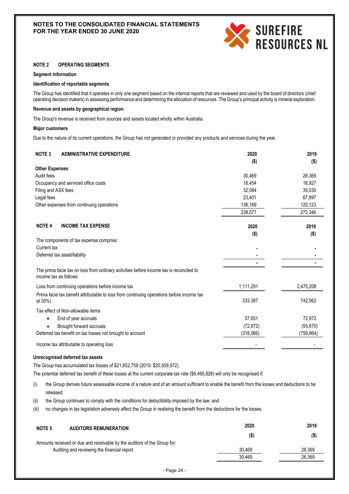

#### **NOTE 2 OPERATING SEGMENTS**

#### **Segment Information**

#### **Identification of reportable segments**

The Group has identified that it operates in only one segment based on the internal reports that are reviewed and used by the board of directors (chief operating decision makers) in assessing performance and determining the allocation of resources. The Group's principal activity is mineral exploration.

#### **Revenue and assets by geographical region**

The Group's revenue is received from sources and assets located wholly within Australia.

#### **Major customers**

Due to the nature of its current operations, the Group has not generated or provided any products and services during the year.

| <b>NOTE 3</b><br><b>ADMINISTRATIVE EXPENDITURE</b>                                                                | 2020      | 2019       |
|-------------------------------------------------------------------------------------------------------------------|-----------|------------|
|                                                                                                                   | $($ \$)   | $($ \$)    |
| <b>Other Expenses</b><br>Audit fees                                                                               |           |            |
|                                                                                                                   | 30,469    | 28,369     |
| Occupancy and serviced office costs                                                                               | 16,454    | 16,927     |
| Filing and ASX fees                                                                                               | 32,084    | 39,030     |
| Legal fees                                                                                                        | 23,401    | 67,897     |
| Other expenses from continuing operations                                                                         | 136,169   | 120,123    |
|                                                                                                                   | 238,577   | 272,346    |
|                                                                                                                   |           |            |
| <b>NOTE 4</b><br><b>INCOME TAX EXPENSE</b>                                                                        | 2020      | 2019       |
|                                                                                                                   | $($ \$)   | $($ \$)    |
| The components of tax expense comprise:                                                                           |           |            |
| Current tax                                                                                                       |           |            |
| Deferred tax asset/liability                                                                                      |           |            |
|                                                                                                                   |           |            |
| The prima facie tax on loss from ordinary activities before income tax is reconciled to<br>income tax as follows: |           |            |
| Loss from continuing operations before income tax                                                                 | 1,111,291 | 2,475,208  |
| Prima facie tax benefit attributable to loss from continuing operations before income tax                         |           |            |
| at 30%)                                                                                                           | 333,387   | 742,562    |
| Tax effect of Non-allowable items                                                                                 |           |            |
| End of year accruals                                                                                              | 57,651    | 72,972     |
| Brought forward accruals                                                                                          | (72, 972) | (55, 670)  |
| Deferred tax benefit on tax losses not brought to account                                                         | (318,066) | (759, 864) |
| Income tax attributable to operating loss                                                                         |           |            |

#### **Unrecognised deferred tax assets**

The Group has accumulated tax losses of \$21,652,759 (2019: \$20,509,972).

The potential deferred tax benefit of these losses at the current corporate tax rate (\$6,495,828) will only be recognised if:

- (i) the Group derives future assessable income of a nature and of an amount sufficient to enable the benefit from the losses and deductions to be released;
- (ii) the Group continues to comply with the conditions for deductibility imposed by the law; and

(iii) no changes in tax legislation adversely affect the Group in realising the benefit from the deductions for the losses.

| NOTE <sub>5</sub> | <b>AUDITORS REMUNERATION</b>                                             | 2020    | 2019    |
|-------------------|--------------------------------------------------------------------------|---------|---------|
|                   |                                                                          | $($ \$) | $($ \$) |
|                   | Amounts received or due and receivable by the auditors of the Group for: |         |         |
|                   | Auditing and reviewing the financial report                              | 30.469  | 28.369  |
|                   |                                                                          | 30.469  | 28.369  |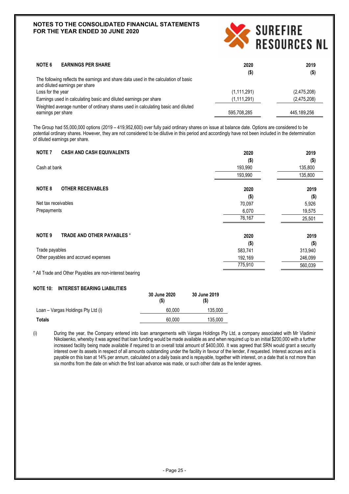

| 2020          | 2019        |
|---------------|-------------|
| $($ \$)       | $($ \$)     |
|               |             |
| (1,111,291)   | (2,475,208) |
| (1, 111, 291) | (2,475,208) |
| 595,708,285   | 445.189.256 |
|               |             |

The Group had 55,000,000 options (2019 – 419,952,600) over fully paid ordinary shares on issue at balance date. Options are considered to be potential ordinary shares. However, they are not considered to be dilutive in this period and accordingly have not been included in the determination of diluted earnings per share.

| <b>NOTE 7</b><br><b>CASH AND CASH EQUIVALENTS</b>       | 2020    | 2019    |
|---------------------------------------------------------|---------|---------|
|                                                         | $($ \$) | $($ \$) |
| Cash at bank                                            | 193,990 | 135,800 |
|                                                         | 193,990 | 135,800 |
| <b>OTHER RECEIVABLES</b><br><b>NOTE 8</b>               | 2020    | 2019    |
|                                                         | $($ \$) | $($ \$) |
| Net tax receivables                                     | 70,097  | 5,926   |
| Prepayments                                             | 6,070   | 19,575  |
|                                                         | 76,167  | 25,501  |
| <b>NOTE 9</b><br><b>TRADE AND OTHER PAYABLES *</b>      | 2020    | 2019    |
|                                                         | $($ \$) | $($ \$) |
| Trade payables                                          | 583,741 | 313,940 |
| Other payables and accrued expenses                     | 192,169 | 246,099 |
|                                                         | 775,910 | 560,039 |
| * All Trade and Other Payables are non-interest bearing |         |         |

**NOTE 10: INTEREST BEARING LIABILITIES**

| (\$)   | (\$)    |
|--------|---------|
| 60.000 | 135.000 |
| 60.000 | 135,000 |
|        |         |

(i) During the year, the Company entered into loan arrangements with Vargas Holdings Pty Ltd, a company associated with Mr Vladimir Nikolaenko, whereby it was agreed that loan funding would be made available as and when required up to an initial \$200,000 with a further increased facility being made available if required to an overall total amount of \$400,000. It was agreed that SRN would grant a security interest over its assets in respect of all amounts outstanding under the facility in favour of the lender, if requested. Interest accrues and is payable on this loan at 14% per annum, calculated on a daily basis and is repayable, together with interest, on a date that is not more than six months from the date on which the first loan advance was made, or such other date as the lender agrees.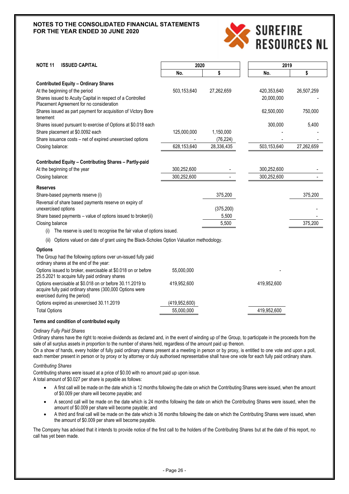

| <b>NOTE 11</b><br><b>ISSUED CAPITAL</b>                                                                                                               | 2020            |            | 2019        |            |
|-------------------------------------------------------------------------------------------------------------------------------------------------------|-----------------|------------|-------------|------------|
|                                                                                                                                                       | No.             | \$         | No.         | \$         |
| <b>Contributed Equity - Ordinary Shares</b>                                                                                                           |                 |            |             |            |
| At the beginning of the period                                                                                                                        | 503,153,640     | 27,262,659 | 420,353,640 | 26,507,259 |
| Shares issued to Acuity Capital in respect of a Controlled<br>Placement Agreement for no consideration                                                |                 |            | 20,000,000  |            |
| Shares issued as part payment for acquisition of Victory Bore<br>tenement                                                                             |                 |            | 62,500,000  | 750,000    |
| Shares issued pursuant to exercise of Options at \$0.018 each                                                                                         |                 |            | 300,000     | 5,400      |
| Share placement at \$0.0092 each                                                                                                                      | 125,000,000     | 1,150,000  |             |            |
| Share issuance costs - net of expired unexercised options                                                                                             |                 | (76, 224)  |             |            |
| Closing balance:                                                                                                                                      | 628,153,640     | 28,336,435 | 503,153,640 | 27,262,659 |
|                                                                                                                                                       |                 |            |             |            |
| <b>Contributed Equity - Contributing Shares - Partly-paid</b>                                                                                         |                 |            |             |            |
| At the beginning of the year                                                                                                                          | 300,252,600     |            | 300,252,600 |            |
| Closing balance:                                                                                                                                      | 300,252,600     |            | 300,252,600 |            |
| <b>Reserves</b>                                                                                                                                       |                 |            |             |            |
| Share-based payments reserve (i)                                                                                                                      |                 | 375,200    |             | 375,200    |
| Reversal of share based payments reserve on expiry of                                                                                                 |                 |            |             |            |
| unexercised options                                                                                                                                   |                 | (375, 200) |             |            |
| Share based payments – value of options issued to broker(ii)                                                                                          |                 | 5,500      |             |            |
| Closing balance                                                                                                                                       |                 | 5,500      |             | 375,200    |
| The reserve is used to recognise the fair value of options issued.<br>(i)                                                                             |                 |            |             |            |
| Options valued on date of grant using the Black-Scholes Option Valuation methodology.<br>(ii)                                                         |                 |            |             |            |
| <b>Options</b>                                                                                                                                        |                 |            |             |            |
| The Group had the following options over un-issued fully paid<br>ordinary shares at the end of the year:                                              |                 |            |             |            |
| Options issued to broker, exercisable at \$0.018 on or before<br>25.5.2021 to acquire fully paid ordinary shares                                      | 55,000,000      |            |             |            |
| Options exercisable at \$0.018 on or before 30.11.2019 to<br>acquire fully paid ordinary shares (300,000 Options were<br>exercised during the period) | 419,952,600     |            | 419,952,600 |            |
| Options expired as unexercised 30.11.2019                                                                                                             | (419, 952, 600) |            |             |            |
| <b>Total Options</b>                                                                                                                                  | 55,000,000      |            | 419,952,600 |            |
|                                                                                                                                                       |                 |            |             |            |

#### **Terms and condition of contributed equity**

#### *Ordinary Fully Paid Shares*

Ordinary shares have the right to receive dividends as declared and, in the event of winding up of the Group, to participate in the proceeds from the sale of all surplus assets in proportion to the number of shares held, regardless of the amount paid up thereon.

On a show of hands, every holder of fully paid ordinary shares present at a meeting in person or by proxy, is entitled to one vote and upon a poll, each member present in person or by proxy or by attorney or duly authorised representative shall have one vote for each fully paid ordinary share.

#### *Contributing Shares*

Contributing shares were issued at a price of \$0.00 with no amount paid up upon issue. A total amount of \$0.027 per share is payable as follows:

- A first call will be made on the date which is 12 months following the date on which the Contributing Shares were issued, when the amount of \$0.009 per share will become payable; and
- A second call will be made on the date which is 24 months following the date on which the Contributing Shares were issued, when the amount of \$0.009 per share will become payable; and
- A third and final call will be made on the date which is 36 months following the date on which the Contributing Shares were issued, when the amount of \$0.009 per share will become payable.

The Company has advised that it intends to provide notice of the first call to the holders of the Contributing Shares but at the date of this report, no call has yet been made.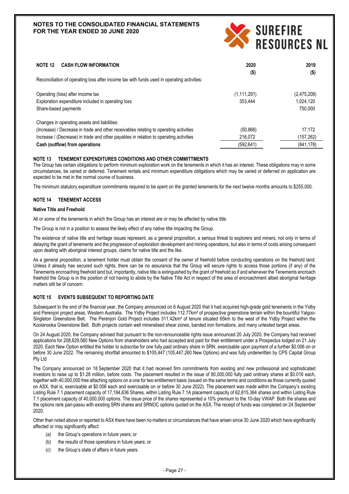

| NOTE 12<br><b>CASH FLOW INFORMATION</b>                                                    | 2020          | 2019        |
|--------------------------------------------------------------------------------------------|---------------|-------------|
| Reconciliation of operating loss after income tax with funds used in operating activities: | $($ \$)       | $($ \$)     |
| Operating (loss) after income tax                                                          | (1, 111, 291) | (2,475,208) |
| Exploration expenditure included in operating loss                                         | 353.444       | 1.024.120   |
| Share-based payments                                                                       |               | 750,000     |
| Changes in operating assets and liabilities:                                               |               |             |
| (Increase) / Decrease in trade and other receivables relating to operating activities      | (50, 866)     | 17.172      |
| Increase / (Decrease) in trade and other payables in relation to operating activities      | 216,072       | (157,262)   |
| Cash (outflow) from operations                                                             | (592, 641)    | (841, 178)  |

#### **NOTE 13 TENEMENT EXPENDITURES CONDITIONS AND OTHER COMMITTMENTS**

The Group has certain obligations to perform minimum exploration work on the tenements in which it has an interest. These obligations may in some circumstances, be varied or deferred. Tenement rentals and minimum expenditure obligations which may be varied or deferred on application are expected to be met in the normal course of business.

The minimum statutory expenditure commitments required to be spent on the granted tenements for the next twelve months amounts to \$255,000.

# **NOTE 14 TENEMENT ACCESS**

#### **Native Title and Freehold**

All or some of the tenements in which the Group has an interest are or may be affected by native title.

The Group is not in a position to assess the likely effect of any native title impacting the Group.

The existence of native title and heritage issues represent, as a general proposition, a serious threat to explorers and miners, not only in terms of delaying the grant of tenements and the progression of exploration development and mining operations, but also in terms of costs arising consequent upon dealing with aboriginal interest groups, claims for native title and the like.

As a general proposition, a tenement holder must obtain the consent of the owner of freehold before conducting operations on the freehold land. Unless it already has secured such rights, there can be no assurance that the Group will secure rights to access those portions (if any) of the Tenements encroaching freehold land but, importantly, native title is extinguished by the grant of freehold so if and whenever the Tenements encroach freehold the Group is in the position of not having to abide by the Native Title Act in respect of the area of encroachment albeit aboriginal heritage matters still be of concern.

# **NOTE 15 EVENTS SUBSEQUENT TO REPORTING DATE**

Subsequent to the end of the financial year, the Company announced on 6 August 2020 that it had acquired high-grade gold tenements in the Yidby and Pereniori project areas, Western Australia. The Yidby Project includes 112.77km<sup>2</sup> of prospective greenstone terrain within the bountiful Yalgoo-Singleton Greenstone Belt. The Perenjori Gold Project includes 311.42km<sup>2</sup> of tenure situated 65km to the west of the Yidby Project within the Koolanooka Greenstone Belt. Both projects contain well mineralised shear zones, banded iron formations, and many untested target areas.

On 24 August 2020, the Company advised that pursuant to the non-renounceable rights issue announced 20 July 2020, the Company had received applications for 208,629,560 New Options from shareholders who had accepted and paid for their entitlement under a Prospectus lodged on 21 July 2020. Each New Option entitled the holder to subscribe for one fully paid ordinary share in SRN, exercisable upon payment of a further \$0.006 on or before 30 June 2022. The remaining shortfall amounted to \$105,447 (105,447,260 New Options) and was fully underwritten by CPS Capital Group Pty Ltd

The Company announced on 18 September 2020 that it had received firm commitments from existing and new professional and sophisticated investors to raise up to \$1.28 million, before costs. The placement resulted in the issue of 80,000,000 fully paid ordinary shares at \$0.016 each, together with 40,000,000 free attaching options on a one for two entitlement basis (issued on the same terms and conditions as those currently quoted on ASX, that is, exercisable at \$0.006 each and exercisable on or before 30 June 2022). The placement was made within the Company's existing Listing Rule 7.1 placement capacity of 17,184,636 Shares, within Listing Rule 7.1A placement capacity of 62,815,364 shares and within Listing Rule 7.1 placement capacity of 40,000,000 options. The issue price of the shares represented a 10% premium to the 10-day VWAP. Both the shares and the options rank pari-passu with existing SRN shares and SRNOC options quoted on the ASX. The receipt of funds was completed on 24 September 2020.

Other than noted above or reported to ASX there have been no matters or circumstances that have arisen since 30 June 2020 which have significantly affected or may significantly affect:

- (a) the Group's operations in future years; or
- (b) the results of those operations in future years; or
- (c) the Group's state of affairs in future years.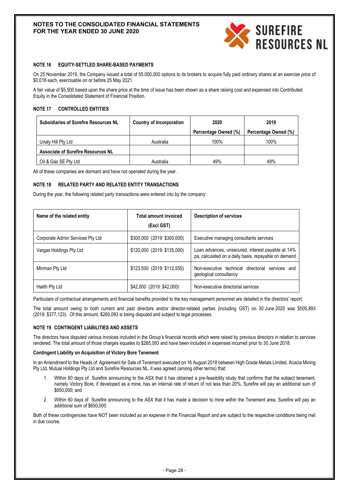

#### **NOTE 16 EQUITY-SETTLED SHARE-BASED PAYMENTS**

On 25 November 2019, the Company issued a total of 55,000,000 options to its brokers to acquire fully paid ordinary shares at an exercise price of \$0.018 each, exercisable on or before 25 May 2021.

A fair value of \$5,500 based upon the share price at the time of issue has been shown as a share raising cost and expensed into Contributed Equity in the Consolidated Statement of Financial Position.

#### **NOTE 17 CONTROLLED ENTITIES**

| <b>Subsidiaries of Surefire Resources NL</b> | Country of Incorporation | 2020                 | 2019                 |
|----------------------------------------------|--------------------------|----------------------|----------------------|
|                                              |                          | Percentage Owned (%) | Percentage Owned (%) |
| Unaly Hill Pty Ltd                           | Australia                | 100%                 | 100%                 |
| <b>Associate of Surefire Resources NL</b>    |                          |                      |                      |
| Oil & Gas SE Pty Ltd                         | Australia                | 49%                  | 49%                  |

All of these companies are dormant and have not operated during the year.

# **NOTE 18 RELATED PARTY AND RELATED ENTITY TRANSACTIONS**

During the year, the following related party transactions were entered into by the company:

| Name of the related entity       | <b>Total amount invoiced</b><br>(Excl GST) | <b>Description of services</b>                                                                            |
|----------------------------------|--------------------------------------------|-----------------------------------------------------------------------------------------------------------|
| Corporate Admin Services Pty Ltd | \$300,000 (2019: \$300,000)                | Executive managing consultants services                                                                   |
| Vargas Holdings Pty Ltd          | \$120,000 (2019: \$135,000)                | Loan advances, unsecured, interest payable at 14%<br>pa, calculated on a daily basis, repayable on demand |
| Minman Pty Ltd                   | \$123,500 (2019: \$112,550)                | Non-executive technical directorial services and<br>geological consultancy                                |
| Halith Pty Ltd                   | \$42,000 (2019: \$42,000)                  | Non-executive directorial services                                                                        |

Particulars of contractual arrangements and financial benefits provided to the key management personnel are detailed in the directors' report.

The total amount owing to both current and past directors and/or director-related parties (including GST) on 30 June 2020 was \$505,893 (2019: \$377,123). Of this amount, \$265,093 is being disputed and subject to legal processes.

#### **NOTE 19 CONTINGENT LIABILITIES AND ASSETS**

The directors have disputed various invoices included in the Group's financial records which were raised by previous directors in relation to services rendered. The total amount of those charges equates to \$265,093 and have been included in expenses incurred prior to 30 June 2018.

#### **Contingent Liability on Acquisition of Victory Bore Tenement**

In an Amendment to the Heads of Agreement for Sale of Tenement executed on 16 August 2018 between High Grade Metals Limited, Acacia Mining Pty Ltd, Mutual Holdings Pty Ltd and Surefire Resources NL, it was agreed (among other terms) that:

- 1. Within 60 days of Surefire announcing to the ASX that it has obtained a pre-feasibility study that confirms that the subject tenement, namely Victory Bore, if developed as a mine, has an internal rate of return of not less than 20%, Surefire will pay an additional sum of \$650,000; and
- 2. Within 60 days of Surefire announcing to the ASX that it has made a decision to mine within the Tenement area, Surefire will pay an additional sum of \$650,000.

Both of these contingencies have NOT been included as an expense in the Financial Report and are subject to the respective conditions being met in due course.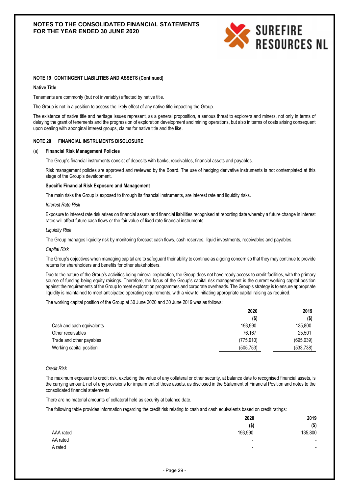

#### **NOTE 19 CONTINGENT LIABILITIES AND ASSETS (Continued)**

#### **Native Title**

Tenements are commonly (but not invariably) affected by native title.

The Group is not in a position to assess the likely effect of any native title impacting the Group.

The existence of native title and heritage issues represent, as a general proposition, a serious threat to explorers and miners, not only in terms of delaying the grant of tenements and the progression of exploration development and mining operations, but also in terms of costs arising consequent upon dealing with aboriginal interest groups, claims for native title and the like.

#### **NOTE 20 FINANCIAL INSTRUMENTS DISCLOSURE**

#### (a) **Financial Risk Management Policies**

The Group's financial instruments consist of deposits with banks, receivables, financial assets and payables.

Risk management policies are approved and reviewed by the Board. The use of hedging derivative instruments is not contemplated at this stage of the Group's development.

#### **Specific Financial Risk Exposure and Management**

The main risks the Group is exposed to through its financial instruments, are interest rate and liquidity risks.

#### *Interest Rate Risk*

Exposure to interest rate risk arises on financial assets and financial liabilities recognised at reporting date whereby a future change in interest rates will affect future cash flows or the fair value of fixed rate financial instruments.

#### *Liquidity Risk*

The Group manages liquidity risk by monitoring forecast cash flows, cash reserves, liquid investments, receivables and payables.

#### *Capital Risk*

The Group's objectives when managing capital are to safeguard their ability to continue as a going concern so that they may continue to provide returns for shareholders and benefits for other stakeholders.

Due to the nature of the Group's activities being mineral exploration, the Group does not have ready access to credit facilities, with the primary source of funding being equity raisings. Therefore, the focus of the Group's capital risk management is the current working capital position against the requirements of the Group to meet exploration programmes and corporate overheads. The Group's strategy is to ensure appropriate liquidity is maintained to meet anticipated operating requirements, with a view to initiating appropriate capital raising as required.

The working capital position of the Group at 30 June 2020 and 30 June 2019 was as follows:

| 2020       | 2019       |
|------------|------------|
| $($ \$)    | (\$)       |
| 193.990    | 135,800    |
| 76.167     | 25.501     |
| (775, 910) | (695,039)  |
| (505, 753) | (533, 738) |
|            |            |

#### *Credit Risk*

The maximum exposure to credit risk, excluding the value of any collateral or other security, at balance date to recognised financial assets, is the carrying amount, net of any provisions for impairment of those assets, as disclosed in the Statement of Financial Position and notes to the consolidated financial statements.

There are no material amounts of collateral held as security at balance date.

The following table provides information regarding the credit risk relating to cash and cash equivalents based on credit ratings:

|           | 2020                     | 2019    |
|-----------|--------------------------|---------|
|           | $($ \$                   | $($ \$) |
| AAA rated | 193,990                  | 135,800 |
| AA rated  | $\overline{\phantom{a}}$ |         |
| A rated   | $\overline{\phantom{0}}$ |         |
|           |                          |         |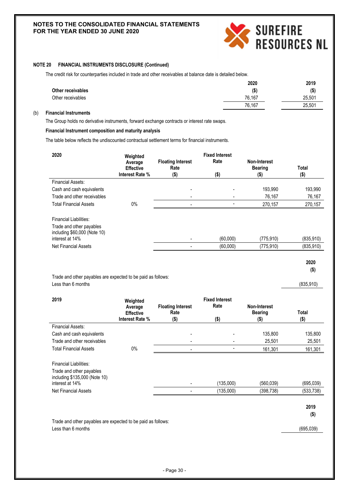

# **NOTE 20 FINANCIAL INSTRUMENTS DISCLOSURE (Continued)**

The credit risk for counterparties included in trade and other receivables at balance date is detailed below.

|                   | 2020    | 2019    |
|-------------------|---------|---------|
| Other receivables | $($ \$) | $($ \$) |
| Other receivables | 76.167  | 25,501  |
|                   | 76,167  | 25,501  |

# (b) **Financial Instruments**

The Group holds no derivative instruments, forward exchange contracts or interest rate swaps.

# **Financial Instrument composition and maturity analysis**

The table below reflects the undiscounted contractual settlement terms for financial instruments.

| 2020                                                                                                                                 | Weighted<br>Average<br><b>Effective</b><br>Interest Rate % | <b>Floating Interest</b><br>Rate | <b>Fixed Interest</b><br>Rate | Non-Interest<br><b>Bearing</b> | Total                    |
|--------------------------------------------------------------------------------------------------------------------------------------|------------------------------------------------------------|----------------------------------|-------------------------------|--------------------------------|--------------------------|
| Financial Assets:                                                                                                                    |                                                            | $($ \$)                          | $($ \$)                       | $($ \$)                        | $($ \$)                  |
|                                                                                                                                      |                                                            |                                  |                               |                                |                          |
| Cash and cash equivalents                                                                                                            |                                                            |                                  |                               | 193,990                        | 193,990                  |
| Trade and other receivables                                                                                                          |                                                            |                                  |                               | 76,167                         | 76,167                   |
| <b>Total Financial Assets</b>                                                                                                        | 0%                                                         |                                  |                               | 270,157                        | 270,157                  |
| Financial Liabilities:<br>Trade and other payables<br>including \$60,000 (Note 10)<br>interest at 14%<br><b>Net Financial Assets</b> |                                                            |                                  | (60,000)<br>(60,000)          | (775, 910)<br>(775, 910)       | (835, 910)<br>(835, 910) |

**2020 (\$)**

Trade and other payables are expected to be paid as follows: Less than 6 months (835,910)

| 2019                                                                                                                                  | Weighted<br>Average<br><b>Effective</b> | <b>Floating Interest</b><br>Rate | <b>Fixed Interest</b><br>Rate | Non-Interest<br><b>Bearing</b> | <b>Total</b>             |
|---------------------------------------------------------------------------------------------------------------------------------------|-----------------------------------------|----------------------------------|-------------------------------|--------------------------------|--------------------------|
|                                                                                                                                       | Interest Rate %                         | $($ \$)                          | $($ \$)                       | $($ \$)                        | $($ \$)                  |
| Financial Assets:                                                                                                                     |                                         |                                  |                               |                                |                          |
| Cash and cash equivalents                                                                                                             |                                         |                                  |                               | 135,800                        | 135,800                  |
| Trade and other receivables                                                                                                           |                                         |                                  |                               | 25,501                         | 25,501                   |
| <b>Total Financial Assets</b>                                                                                                         | $0\%$                                   |                                  |                               | 161,301                        | 161,301                  |
| Financial Liabilities:<br>Trade and other payables<br>including \$135,000 (Note 10)<br>interest at 14%<br><b>Net Financial Assets</b> |                                         | $\overline{\phantom{a}}$         | (135,000)<br>(135,000)        | (560,039)<br>(398,738)         | (695, 039)<br>(533, 738) |

Trade and other payables are expected to be paid as follows: Less than 6 months (695,039)

**2019 (\$)**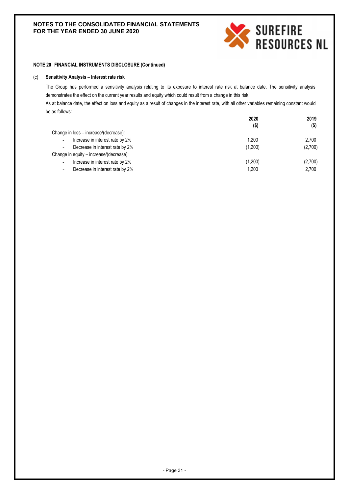

# **NOTE 20 FINANCIAL INSTRUMENTS DISCLOSURE (Continued)**

#### (c) **Sensitivity Analysis – Interest rate risk**

The Group has performed a sensitivity analysis relating to its exposure to interest rate risk at balance date. The sensitivity analysis demonstrates the effect on the current year results and equity which could result from a change in this risk.

As at balance date, the effect on loss and equity as a result of changes in the interest rate, with all other variables remaining constant would be as follows:

|                                                             | 2020    | 2019    |
|-------------------------------------------------------------|---------|---------|
|                                                             | $($ \$) | $($ \$) |
| Change in loss - increase/(decrease):                       |         |         |
| Increase in interest rate by 2%<br>$\overline{\phantom{0}}$ | 1.200   | 2.700   |
| Decrease in interest rate by 2%<br>$\overline{\phantom{a}}$ | (1,200) | (2,700) |
| Change in equity - increase/(decrease):                     |         |         |
| Increase in interest rate by 2%<br>$\overline{\phantom{0}}$ | (1,200) | (2,700) |
| Decrease in interest rate by 2%<br>$\overline{\phantom{0}}$ | 1.200   | 2.700   |
|                                                             |         |         |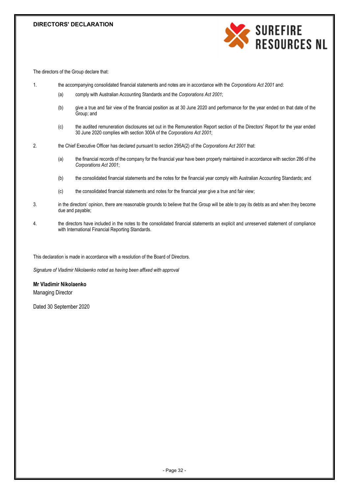# **DIRECTORS' DECLARATION**



The directors of the Group declare that:

- 1. the accompanying consolidated financial statements and notes are in accordance with the *Corporations Act 2001* and:
	- (a) comply with Australian Accounting Standards and the *Corporations Act 2001*;
	- (b) give a true and fair view of the financial position as at 30 June 2020 and performance for the year ended on that date of the Group; and
	- (c) the audited remuneration disclosures set out in the Remuneration Report section of the Directors' Report for the year ended 30 June 2020 complies with section 300A of the *Corporations Act 2001*;
- 2. the Chief Executive Officer has declared pursuant to section 295A(2) of the *Corporations Act 2001* that:
	- (a) the financial records of the company for the financial year have been properly maintained in accordance with section 286 of the *Corporations Act 2001*;
	- (b) the consolidated financial statements and the notes for the financial year comply with Australian Accounting Standards; and
	- (c) the consolidated financial statements and notes for the financial year give a true and fair view;
- 3. in the directors' opinion, there are reasonable grounds to believe that the Group will be able to pay its debts as and when they become due and payable;
- 4. the directors have included in the notes to the consolidated financial statements an explicit and unreserved statement of compliance with International Financial Reporting Standards.

This declaration is made in accordance with a resolution of the Board of Directors.

*Signature of Vladimir Nikolaenko noted as having been affixed with approval*

**Mr Vladimir Nikolaenko** Managing Director

Dated 30 September 2020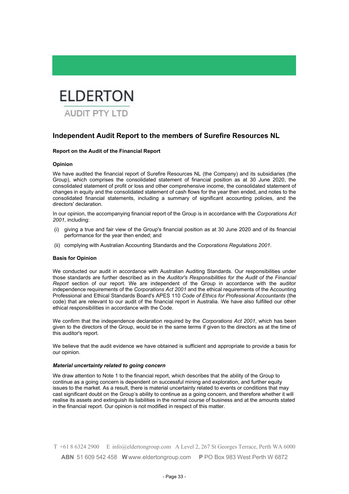

# **Independent Audit Report to the members of Surefire Resources NL**

# **Report on the Audit of the Financial Report**

#### **Opinion**

We have audited the financial report of Surefire Resources NL (the Company) and its subsidiaries (the Group), which comprises the consolidated statement of financial position as at 30 June 2020, the consolidated statement of profit or loss and other comprehensive income, the consolidated statement of changes in equity and the consolidated statement of cash flows for the year then ended, and notes to the consolidated financial statements, including a summary of significant accounting policies, and the directors' declaration.

In our opinion, the accompanying financial report of the Group is in accordance with the *Corporations Act 2001*, including:

- (i) giving a true and fair view of the Group's financial position as at 30 June 2020 and of its financial performance for the year then ended; and
- (ii) complying with Australian Accounting Standards and the *Corporations Regulations 2001*.

#### **Basis for Opinion**

We conducted our audit in accordance with Australian Auditing Standards. Our responsibilities under those standards are further described as in the *Auditor's Responsibilities for the Audit of the Financial Report* section of our report. We are independent of the Group in accordance with the auditor independence requirements of the *Corporations Act 2001* and the ethical requirements of the Accounting Professional and Ethical Standards Board's APES 110 *Code of Ethics for Professional Accountants* (the code) that are relevant to our audit of the financial report in Australia. We have also fulfilled our other ethical responsibilities in accordance with the Code.

We confirm that the independence declaration required by the *Corporations Act 2001*, which has been given to the directors of the Group, would be in the same terms if given to the directors as at the time of this auditor's report.

We believe that the audit evidence we have obtained is sufficient and appropriate to provide a basis for our opinion.

#### *Material uncertainty related to going concern*

We draw attention to Note 1 to the financial report, which describes that the ability of the Group to continue as a going concern is dependent on successful mining and exploration, and further equity issues to the market. As a result, there is material uncertainty related to events or conditions that may cast significant doubt on the Group's ability to continue as a going concern, and therefore whether it will realise its assets and extinguish its liabilities in the normal course of business and at the amounts stated in the financial report. Our opinion is not modified in respect of this matter.

T +61 8 6324 2900 E info@eldertongroup.com A Level 2, 267 St Georges Terrace, Perth WA 6000 **ABN** 51 609 542 458 **W** www.eldertongroup.com **P** PO Box 983 West Perth W 6872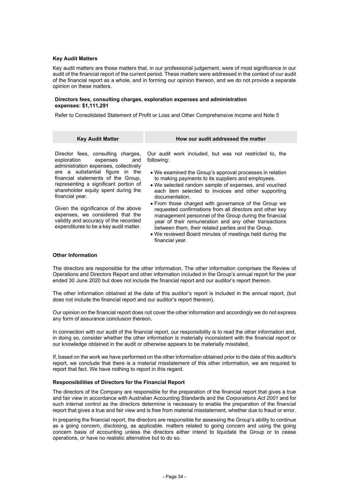#### **Key Audit Matters**

Key audit matters are those matters that, in our professional judgement, were of most significance in our audit of the financial report of the current period. These matters were addressed in the context of our audit of the financial report as a whole, and in forming our opinion thereon, and we do not provide a separate opinion on these matters.

#### **Directors fees, consulting charges, exploration expenses and administration expenses: \$1,111,291**

Refer to Consolidated Statement of Profit or Loss and Other Comprehensive Income and Note 5

| <b>Key Audit Matter</b>                                                                                                                                                  | How our audit addressed the matter                                                                                                                                                                                                                                                                                                                   |
|--------------------------------------------------------------------------------------------------------------------------------------------------------------------------|------------------------------------------------------------------------------------------------------------------------------------------------------------------------------------------------------------------------------------------------------------------------------------------------------------------------------------------------------|
| Director fees, consulting charges,<br>exploration<br>and<br>expenses<br>administration expenses, collectively                                                            | Our audit work included, but was not restricted to, the<br>following:                                                                                                                                                                                                                                                                                |
| are a substantial figure in the<br>financial statements of the Group,<br>representing a significant portion of<br>shareholder equity spent during the<br>financial year. | • We examined the Group's approval processes in relation<br>to making payments to its suppliers and employees.<br>. We selected random sample of expenses, and vouched<br>each item selected to invoices and other supporting<br>documentation.                                                                                                      |
| Given the significance of the above<br>expenses, we considered that the<br>validity and accuracy of the recorded<br>expenditures to be a key audit matter.               | • From those charged with governance of the Group we<br>requested confirmations from all directors and other key<br>management personnel of the Group during the financial<br>year of their remuneration and any other transactions<br>between them, their related parties and the Group.<br>• We reviewed Board minutes of meetings held during the |

#### **Other Information**

The directors are responsible for the other information. The other information comprises the Review of Operations and Directors Report and other information included in the Group's annual report for the year ended 30 June 2020 but does not include the financial report and our auditor's report thereon.

financial year.

The other information obtained at the date of this auditor's report is included in the annual report, (but does not include the financial report and our auditor's report thereon).

Our opinion on the financial report does not cover the other information and accordingly we do not express any form of assurance conclusion thereon.

In connection with our audit of the financial report, our responsibility is to read the other information and, in doing so, consider whether the other information is materially inconsistent with the financial report or our knowledge obtained in the audit or otherwise appears to be materially misstated.

If, based on the work we have performed on the other information obtained prior to the date of this auditor's report, we conclude that there is a material misstatement of this other information, we are required to report that fact. We have nothing to report in this regard.

# **Responsibilities of Directors for the Financial Report**

The directors of the Company are responsible for the preparation of the financial report that gives a true and fair view in accordance with Australian Accounting Standards and the *Corporations Act 2001* and for such internal control as the directors determine is necessary to enable the preparation of the financial report that gives a true and fair view and is free from material misstatement, whether due to fraud or error.

In preparing the financial report, the directors are responsible for assessing the Group's ability to continue as a going concern, disclosing, as applicable, matters related to going concern and using the going concern basis of accounting unless the directors either intend to liquidate the Group or to cease operations, or have no realistic alternative but to do so.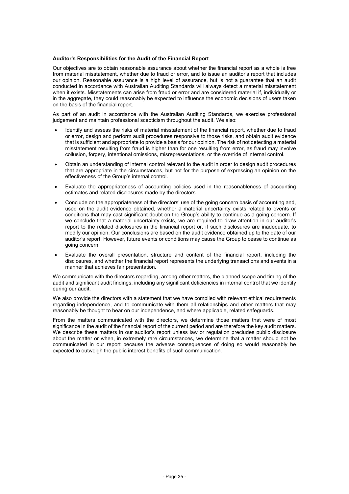#### **Auditor's Responsibilities for the Audit of the Financial Report**

Our objectives are to obtain reasonable assurance about whether the financial report as a whole is free from material misstatement, whether due to fraud or error, and to issue an auditor's report that includes our opinion. Reasonable assurance is a high level of assurance, but is not a guarantee that an audit conducted in accordance with Australian Auditing Standards will always detect a material misstatement when it exists. Misstatements can arise from fraud or error and are considered material if, individually or in the aggregate, they could reasonably be expected to influence the economic decisions of users taken on the basis of the financial report.

As part of an audit in accordance with the Australian Auditing Standards, we exercise professional judgement and maintain professional scepticism throughout the audit. We also:

- Identify and assess the risks of material misstatement of the financial report, whether due to fraud or error, design and perform audit procedures responsive to those risks, and obtain audit evidence that is sufficient and appropriate to provide a basis for our opinion. The risk of not detecting a material misstatement resulting from fraud is higher than for one resulting from error, as fraud may involve collusion, forgery, intentional omissions, misrepresentations, or the override of internal control.
- Obtain an understanding of internal control relevant to the audit in order to design audit procedures that are appropriate in the circumstances, but not for the purpose of expressing an opinion on the effectiveness of the Group's internal control.
- Evaluate the appropriateness of accounting policies used in the reasonableness of accounting estimates and related disclosures made by the directors.
- Conclude on the appropriateness of the directors' use of the going concern basis of accounting and, used on the audit evidence obtained, whether a material uncertainty exists related to events or conditions that may cast significant doubt on the Group's ability to continue as a going concern. If we conclude that a material uncertainty exists, we are required to draw attention in our auditor's report to the related disclosures in the financial report or, if such disclosures are inadequate, to modify our opinion. Our conclusions are based on the audit evidence obtained up to the date of our auditor's report. However, future events or conditions may cause the Group to cease to continue as going concern.
- Evaluate the overall presentation, structure and content of the financial report, including the disclosures, and whether the financial report represents the underlying transactions and events in a manner that achieves fair presentation.

We communicate with the directors regarding, among other matters, the planned scope and timing of the audit and significant audit findings, including any significant deficiencies in internal control that we identify during our audit.

We also provide the directors with a statement that we have complied with relevant ethical requirements regarding independence, and to communicate with them all relationships and other matters that may reasonably be thought to bear on our independence, and where applicable, related safeguards.

From the matters communicated with the directors, we determine those matters that were of most significance in the audit of the financial report of the current period and are therefore the key audit matters. We describe these matters in our auditor's report unless law or regulation precludes public disclosure about the matter or when, in extremely rare circumstances, we determine that a matter should not be communicated in our report because the adverse consequences of doing so would reasonably be expected to outweigh the public interest benefits of such communication.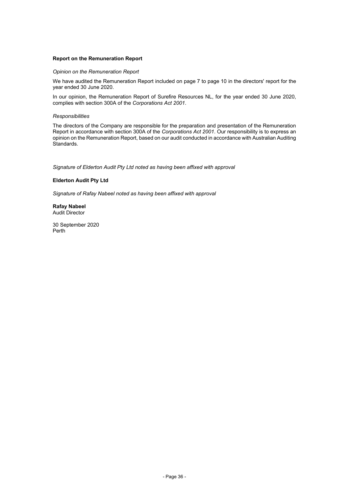# **Report on the Remuneration Report**

#### *Opinion on the Remuneration Report*

We have audited the Remuneration Report included on page 7 to page 10 in the directors' report for the year ended 30 June 2020.

In our opinion, the Remuneration Report of Surefire Resources NL, for the year ended 30 June 2020, complies with section 300A of the *Corporations Act 2001*.

#### *Responsibilities*

The directors of the Company are responsible for the preparation and presentation of the Remuneration Report in accordance with section 300A of the *Corporations Act 2001*. Our responsibility is to express an opinion on the Remuneration Report, based on our audit conducted in accordance with Australian Auditing Standards.

*Signature of Elderton Audit Pty Ltd noted as having been affixed with approval*

### **Elderton Audit Pty Ltd**

*Signature of Rafay Nabeel noted as having been affixed with approval*

#### **Rafay Nabeel** Audit Director

30 September 2020 Perth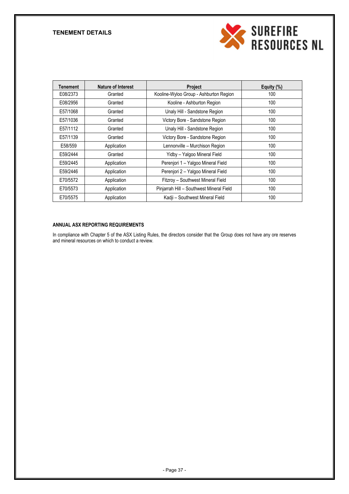# **TENEMENT DETAILS**



| <b>Tenement</b> | <b>Nature of Interest</b> | <b>Project</b>                           | Equity (%) |
|-----------------|---------------------------|------------------------------------------|------------|
| E08/2373        | Granted                   | Kooline-Wyloo Group - Ashburton Region   | 100        |
| E08/2956        | Granted                   | Kooline - Ashburton Region               | 100        |
| E57/1068        | Granted                   | Unaly Hill - Sandstone Region            | 100        |
| E57/1036        | Granted                   | Victory Bore - Sandstone Region          | 100        |
| E57/1112        | Granted                   | Unaly Hill - Sandstone Region            | 100        |
| E57/1139        | Granted                   | Victory Bore - Sandstone Region          | 100        |
| E58/559         | Application               | Lennonville - Murchison Region           | 100        |
| E59/2444        | Granted                   | Yidby - Yalgoo Mineral Field             | 100        |
| E59/2445        | Application               | Perenjori 1 - Yalgoo Mineral Field       | 100        |
| E59/2446        | Application               | Perenjori 2 - Yalgoo Mineral Field       | 100        |
| E70/5572        | Application               | Fitzroy - Southwest Mineral Field        | 100        |
| E70/5573        | Application               | Pinjarrah Hill - Southwest Mineral Field | 100        |
| E70/5575        | Application               | Kadji - Southwest Mineral Field          | 100        |

# **ANNUAL ASX REPORTING REQUIREMENTS**

In compliance with Chapter 5 of the ASX Listing Rules, the directors consider that the Group does not have any ore reserves and mineral resources on which to conduct a review.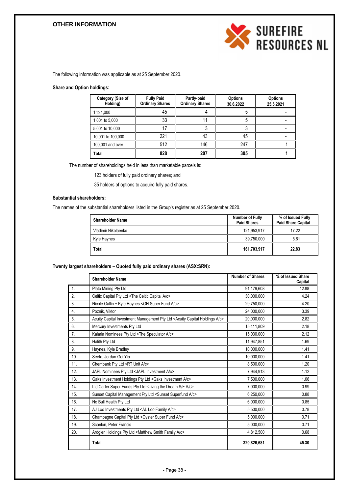# **OTHER INFORMATION**



The following information was applicable as at 25 September 2020.

# **Share and Option holdings:**

| Category (Size of<br>Holding) | <b>Fully Paid</b><br><b>Ordinary Shares</b> | <b>Partly-paid</b><br><b>Ordinary Shares</b> | <b>Options</b><br>30.6.2022 | <b>Options</b><br>25.5.2021 |
|-------------------------------|---------------------------------------------|----------------------------------------------|-----------------------------|-----------------------------|
| 1 to 1,000                    | 45                                          |                                              |                             |                             |
| 1,001 to 5,000                | 33                                          |                                              |                             |                             |
| 5,001 to 10,000               |                                             |                                              |                             |                             |
| 10,001 to 100,000             | 221                                         | 43                                           | 45                          |                             |
| 100,001 and over              | 512                                         | 146                                          | 247                         |                             |
| Total                         | 828                                         | 207                                          | 305                         |                             |

The number of shareholdings held in less than marketable parcels is:

123 holders of fully paid ordinary shares; and

35 holders of options to acquire fully paid shares.

# **Substantial shareholders:**

The names of the substantial shareholders listed in the Group's register as at 25 September 2020.

| l Shareholder Name  | <b>Number of Fully</b><br><b>Paid Shares</b> | % of Issued Fully<br><b>Paid Share Capital</b> |
|---------------------|----------------------------------------------|------------------------------------------------|
| Vladimir Nikolaenko | 121.953.917                                  | 17.22                                          |
| Kyle Haynes         | 39,750,000                                   | 5.61                                           |
| <b>Total</b>        | 161,703,917                                  | 22.83                                          |

#### **Twenty largest shareholders – Quoted fully paid ordinary shares (ASX:SRN):**

|     | <b>Shareholder Name</b>                                                                         | <b>Number of Shares</b> | % of Issued Share<br>Capital |
|-----|-------------------------------------------------------------------------------------------------|-------------------------|------------------------------|
| 1.  | Plato Mining Pty Ltd                                                                            | 91,179,608              | 12.88                        |
| 2.  | Celtic Capital Pty Ltd <the a="" c="" capital="" celtic=""></the>                               | 30,000,000              | 4.24                         |
| 3.  | Nicole Gallin + Kyle Haynes < GH Super Fund A/c>                                                | 29,750,000              | 4.20                         |
| 4.  | Poznik, Viktor                                                                                  | 24,000,000              | 3.39                         |
| 5.  | Acuity Capital Investment Management Pty Ltd <acuity a="" c="" capital="" holdings=""></acuity> | 20,000,000              | 2.82                         |
| 6.  | Mercury Investments Pty Ltd                                                                     | 15,411,809              | 2.18                         |
| 7.  | Kalaria Nominees Pty Ltd <the a="" c="" speculator=""></the>                                    | 15,030,000              | 2.12                         |
| 8.  | Halith Pty Ltd                                                                                  | 11,947,851              | 1.69                         |
| 9.  | Haynes, Kyle Bradley                                                                            | 10,000,000              | 1.41                         |
| 10. | Seeto, Jordan Gei Yip                                                                           | 10,000,000              | 1.41                         |
| 11. | Chembank Pty Ltd <rt a="" c="" unit=""></rt>                                                    | 8,500,000               | 1.20                         |
| 12. | JAPL Nominees Pty Ltd <japl a="" c="" investment=""></japl>                                     | 7,944,913               | 1.12                         |
| 13. | Gaks Investment Holdings Pty Ltd <gaks a="" c="" investment=""></gaks>                          | 7,500,000               | 1.06                         |
| 14. | Ltd Carter Super Funds Pty Ltd <living a="" c="" dream="" f="" s="" the=""></living>            | 7,000,000               | 0.99                         |
| 15. | Sunset Capital Management Pty Ltd <sunset a="" c="" superfund=""></sunset>                      | 6,250,000               | 0.88                         |
| 16. | No Bull Health Pty Ltd                                                                          | 6,000,000               | 0.85                         |
| 17. | AJ Loo Investments Pty Ltd <al a="" c="" family="" loo=""></al>                                 | 5,500,000               | 0.78                         |
| 18. | Champagne Capital Pty Ltd < Oyster Super Fund A/c>                                              | 5,000,000               | 0.71                         |
| 19. | Scanlon, Peter Francis                                                                          | 5,000,000               | 0.71                         |
| 20. | Ardglen Holdings Pty Ltd <matthew a="" c="" family="" smith=""></matthew>                       | 4,812,500               | 0.68                         |
|     | <b>Total</b>                                                                                    | 320,826,681             | 45.30                        |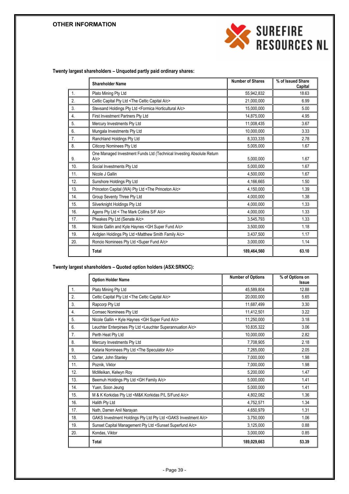# **OTHER INFORMATION**



**Twenty largest shareholders – Unquoted partly paid ordinary shares:**

|     | <b>Shareholder Name</b>                                                      | <b>Number of Shares</b> | % of Issued Share<br>Capital |
|-----|------------------------------------------------------------------------------|-------------------------|------------------------------|
| 1.  | Plato Mining Pty Ltd                                                         | 55,942,832              | 18.63                        |
| 2.  | Celtic Capital Pty Ltd <the a="" c="" capital="" celtic=""></the>            | 21,000,000              | 6.99                         |
| 3.  | Stevsand Holdings Pty Ltd <formica a="" c="" horticultural=""></formica>     | 15,000,000              | 5.00                         |
| 4.  | First Investment Partners Pty Ltd                                            | 14,875,000              | 4.95                         |
| 5.  | Mercury Investments Pty Ltd                                                  | 11,008,435              | 3.67                         |
| 6.  | Mungala Investments Pty Ltd                                                  | 10,000,000              | 3.33                         |
| 7.  | Ranchland Holdings Pty Ltd                                                   | 8,333,335               | 2.78                         |
| 8.  | Citicorp Nominees Pty Ltd                                                    | 5,005,000               | 1.67                         |
| 9.  | One Managed Investment Funds Ltd (Technical Investing Absolute Return<br>A/c | 5,000,000               | 1.67                         |
| 10. | Social Investments Pty Ltd                                                   | 5,000,000               | 1.67                         |
| 11. | Nicole J Gallin                                                              | 4,500,000               | 1.67                         |
| 12. | Sunshore Holdings Pty Ltd                                                    | 4,166,665               | 1.50                         |
| 13. | Princeton Capital (WA) Pty Ltd <the a="" c="" princeton=""></the>            | 4,150,000               | 1.39                         |
| 14. | Group Seventy Three Pty Ltd                                                  | 4,000,000               | 1.38                         |
| 15. | Silverknight Holdings Pty Ltd                                                | 4,000,000               | 1.33                         |
| 16. | Agens Pty Ltd < The Mark Collins S/F A/c>                                    | 4,000,000               | 1.33                         |
| 17. | Pheakes Pty Ltd (Senate A/c>                                                 | 3,545,793               | 1.33                         |
| 18. | Nicole Gallin and Kyle Haynes < GH Super Fund A/c>                           | 3,500,000               | 1.18                         |
| 19. | Ardglen Holdings Pty Ltd <matthew a="" c="" family="" smith=""></matthew>    | 3,437,500               | 1.17                         |
| 20. | Roncio Nominees Pty Ltd <super a="" c="" fund=""></super>                    | 3,000,000               | 1.14                         |
|     | Total                                                                        | 189,464,560             | 63.10                        |

# **Twenty largest shareholders – Quoted option holders (ASX:SRNOC):**

|     | <b>Option Holder Name</b>                                                       | <b>Number of Options</b> | % of Options on<br><b>Issue</b> |
|-----|---------------------------------------------------------------------------------|--------------------------|---------------------------------|
| 1.  | Plato Mining Pty Ltd                                                            | 45,589,804               | 12.88                           |
| 2.  | Celtic Capital Pty Ltd <the a="" c="" capital="" celtic=""></the>               | 20,000,000               | 5.65                            |
| 3.  | Rapcorp Pty Ltd                                                                 | 11,687,499               | 3.30                            |
| 4.  | <b>Comsec Nominees Pty Ltd</b>                                                  | 11,412,501               | 3.22                            |
| 5.  | Nicole Gallin + Kyle Haynes < GH Super Fund A/c>                                | 11,250,000               | 3.18                            |
| 6.  | Leuchter Enterpirses Pty Ltd <leuchter a="" c="" superannuation=""></leuchter>  | 10,835,322               | 3.06                            |
| 7.  | Perth Heat Pty Ltd                                                              | 10,000,000               | 2.82                            |
| 8.  | Mercury Investments Pty Ltd                                                     | 7,708,905                | 2.18                            |
| 9.  | Kalaria Nominees Pty Ltd <the a="" c="" speculator=""></the>                    | 7,265,000                | 2.05                            |
| 10. | Carter, John Stanley                                                            | 7,000,000                | 1.98                            |
| 11. | Poznik, Viktor                                                                  | 7,000,000                | 1.98                            |
| 12. | McMeikan, Kelwyn Roy                                                            | 5,200,000                | 1.47                            |
| 13. | Beemuh Holdings Pty Ltd < GH Family A/c>                                        | 5,000,000                | 1.41                            |
| 14. | Yuen, Soon Jeung                                                                | 5,000,000                | 1.41                            |
| 15. | M & K Korkidas Pty Ltd <m&k a="" c="" fund="" korkidas="" l="" p="" s=""></m&k> | 4,802,082                | 1.36                            |
| 16. | Halith Pty Ltd                                                                  | 4,752,571                | 1.34                            |
| 17. | Nath, Darren Anil Narayan                                                       | 4,650,979                | 1.31                            |
| 18. | GAKS Investment Holdings Pty Ltd Pty Ltd <gaks a="" c="" investment=""></gaks>  | 3,750,000                | 1.06                            |
| 19. | Sunset Capital Management Pty Ltd <sunset a="" c="" superfund=""></sunset>      | 3,125,000                | 0.88                            |
| 20. | Kondas, Viktor                                                                  | 3,000,000                | 0.85                            |
|     | Total                                                                           | 189,029,663              | 53.39                           |